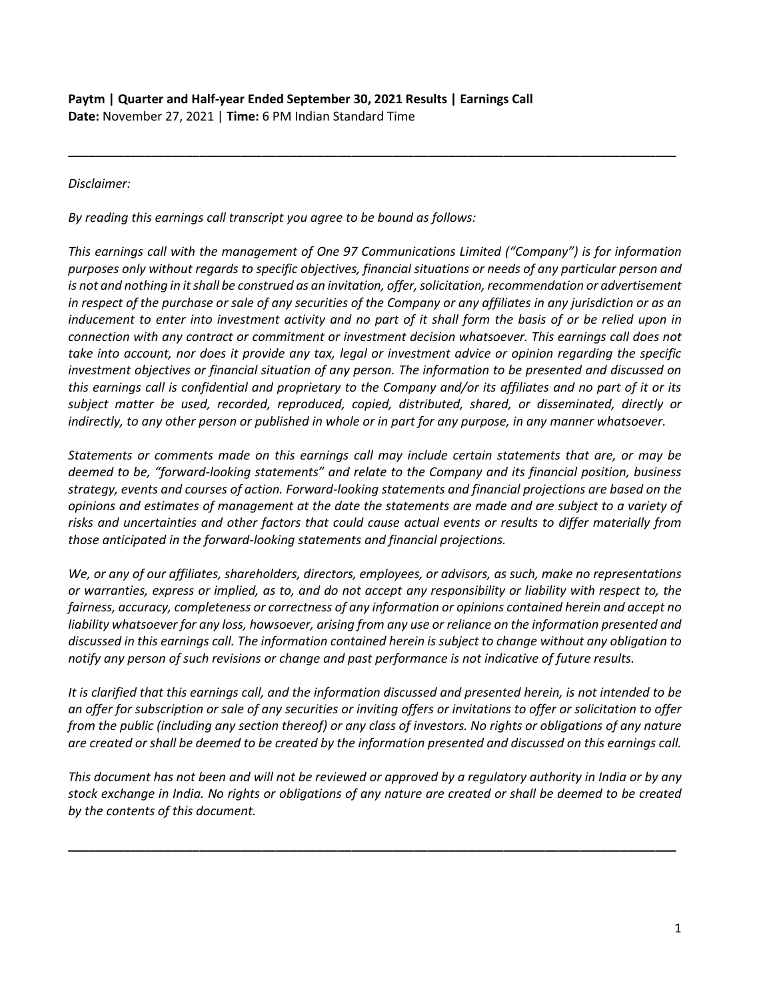## *Disclaimer:*

*By reading this earnings call transcript you agree to be bound as follows:*

*This earnings call with the management of One 97 Communications Limited ("Company") is for information purposes only without regards to specific objectives, financial situations or needs of any particular person and is not and nothing in it shall be construed as an invitation, offer, solicitation, recommendation or advertisement in respect of the purchase or sale of any securities of the Company or any affiliates in any jurisdiction or as an inducement to enter into investment activity and no part of it shall form the basis of or be relied upon in connection with any contract or commitment or investment decision whatsoever. This earnings call does not take into account, nor does it provide any tax, legal or investment advice or opinion regarding the specific investment objectives or financial situation of any person. The information to be presented and discussed on this earnings call is confidential and proprietary to the Company and/or its affiliates and no part of it or its subject matter be used, recorded, reproduced, copied, distributed, shared, or disseminated, directly or indirectly, to any other person or published in whole or in part for any purpose, in any manner whatsoever.* 

**\_\_\_\_\_\_\_\_\_\_\_\_\_\_\_\_\_\_\_\_\_\_\_\_\_\_\_\_\_\_\_\_\_\_\_\_\_\_\_\_\_\_\_\_\_\_\_\_\_\_\_\_\_\_\_\_\_\_\_\_\_\_\_\_\_\_\_\_\_\_\_\_\_\_\_\_\_\_\_\_\_\_\_\_\_\_\_\_**

*Statements or comments made on this earnings call may include certain statements that are, or may be deemed to be, "forward-looking statements" and relate to the Company and its financial position, business strategy, events and courses of action. Forward-looking statements and financial projections are based on the opinions and estimates of management at the date the statements are made and are subject to a variety of risks and uncertainties and other factors that could cause actual events or results to differ materially from those anticipated in the forward-looking statements and financial projections.*

*We, or any of our affiliates, shareholders, directors, employees, or advisors, as such, make no representations or warranties, express or implied, as to, and do not accept any responsibility or liability with respect to, the fairness, accuracy, completeness or correctness of any information or opinions contained herein and accept no liability whatsoever for any loss, howsoever, arising from any use or reliance on the information presented and discussed in this earnings call. The information contained herein is subject to change without any obligation to notify any person of such revisions or change and past performance is not indicative of future results.*

*It is clarified that this earnings call, and the information discussed and presented herein, is not intended to be an offer for subscription or sale of any securities or inviting offers or invitations to offer or solicitation to offer from the public (including any section thereof) or any class of investors. No rights or obligations of any nature are created or shall be deemed to be created by the information presented and discussed on this earnings call.*

*This document has not been and will not be reviewed or approved by a regulatory authority in India or by any stock exchange in India. No rights or obligations of any nature are created or shall be deemed to be created by the contents of this document.* 

**\_\_\_\_\_\_\_\_\_\_\_\_\_\_\_\_\_\_\_\_\_\_\_\_\_\_\_\_\_\_\_\_\_\_\_\_\_\_\_\_\_\_\_\_\_\_\_\_\_\_\_\_\_\_\_\_\_\_\_\_\_\_\_\_\_\_\_\_\_\_\_\_\_\_\_\_\_\_\_\_\_\_\_\_\_\_\_\_**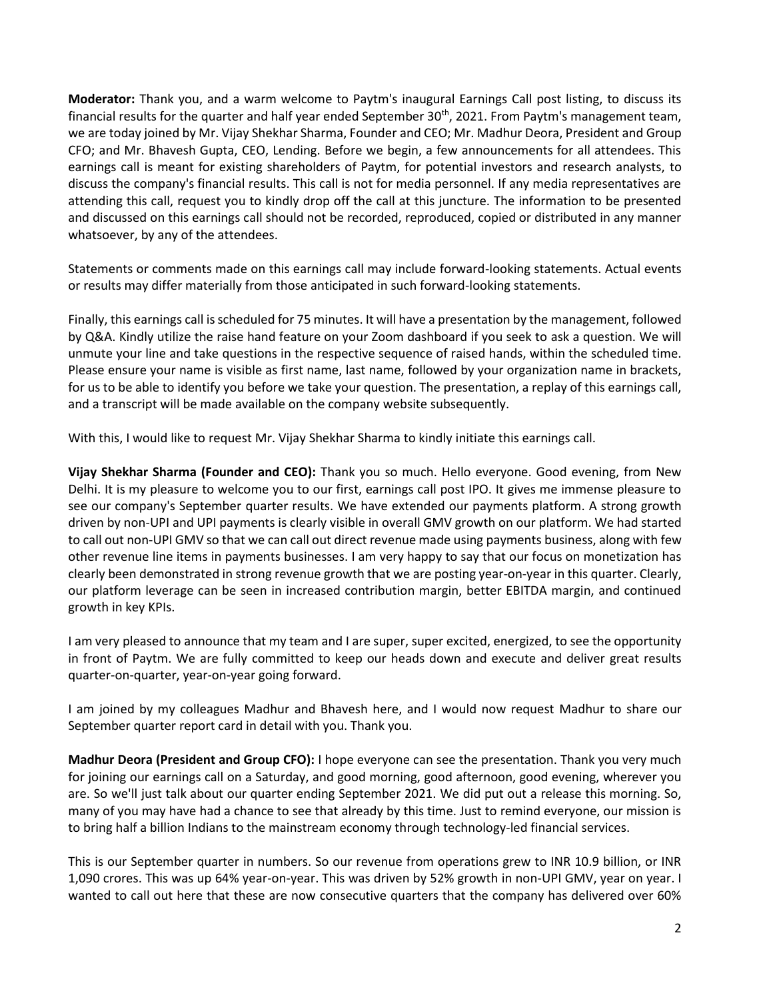**Moderator:** Thank you, and a warm welcome to Paytm's inaugural Earnings Call post listing, to discuss its financial results for the quarter and half year ended September 30<sup>th</sup>, 2021. From Paytm's management team, we are today joined by Mr. Vijay Shekhar Sharma, Founder and CEO; Mr. Madhur Deora, President and Group CFO; and Mr. Bhavesh Gupta, CEO, Lending. Before we begin, a few announcements for all attendees. This earnings call is meant for existing shareholders of Paytm, for potential investors and research analysts, to discuss the company's financial results. This call is not for media personnel. If any media representatives are attending this call, request you to kindly drop off the call at this juncture. The information to be presented and discussed on this earnings call should not be recorded, reproduced, copied or distributed in any manner whatsoever, by any of the attendees.

Statements or comments made on this earnings call may include forward-looking statements. Actual events or results may differ materially from those anticipated in such forward-looking statements.

Finally, this earnings call is scheduled for 75 minutes. It will have a presentation by the management, followed by Q&A. Kindly utilize the raise hand feature on your Zoom dashboard if you seek to ask a question. We will unmute your line and take questions in the respective sequence of raised hands, within the scheduled time. Please ensure your name is visible as first name, last name, followed by your organization name in brackets, for us to be able to identify you before we take your question. The presentation, a replay of this earnings call, and a transcript will be made available on the company website subsequently.

With this, I would like to request Mr. Vijay Shekhar Sharma to kindly initiate this earnings call.

**Vijay Shekhar Sharma (Founder and CEO):** Thank you so much. Hello everyone. Good evening, from New Delhi. It is my pleasure to welcome you to our first, earnings call post IPO. It gives me immense pleasure to see our company's September quarter results. We have extended our payments platform. A strong growth driven by non-UPI and UPI payments is clearly visible in overall GMV growth on our platform. We had started to call out non-UPI GMV so that we can call out direct revenue made using payments business, along with few other revenue line items in payments businesses. I am very happy to say that our focus on monetization has clearly been demonstrated in strong revenue growth that we are posting year-on-year in this quarter. Clearly, our platform leverage can be seen in increased contribution margin, better EBITDA margin, and continued growth in key KPIs.

I am very pleased to announce that my team and I are super, super excited, energized, to see the opportunity in front of Paytm. We are fully committed to keep our heads down and execute and deliver great results quarter-on-quarter, year-on-year going forward.

I am joined by my colleagues Madhur and Bhavesh here, and I would now request Madhur to share our September quarter report card in detail with you. Thank you.

**Madhur Deora (President and Group CFO):** I hope everyone can see the presentation. Thank you very much for joining our earnings call on a Saturday, and good morning, good afternoon, good evening, wherever you are. So we'll just talk about our quarter ending September 2021. We did put out a release this morning. So, many of you may have had a chance to see that already by this time. Just to remind everyone, our mission is to bring half a billion Indians to the mainstream economy through technology-led financial services.

This is our September quarter in numbers. So our revenue from operations grew to INR 10.9 billion, or INR 1,090 crores. This was up 64% year-on-year. This was driven by 52% growth in non-UPI GMV, year on year. I wanted to call out here that these are now consecutive quarters that the company has delivered over 60%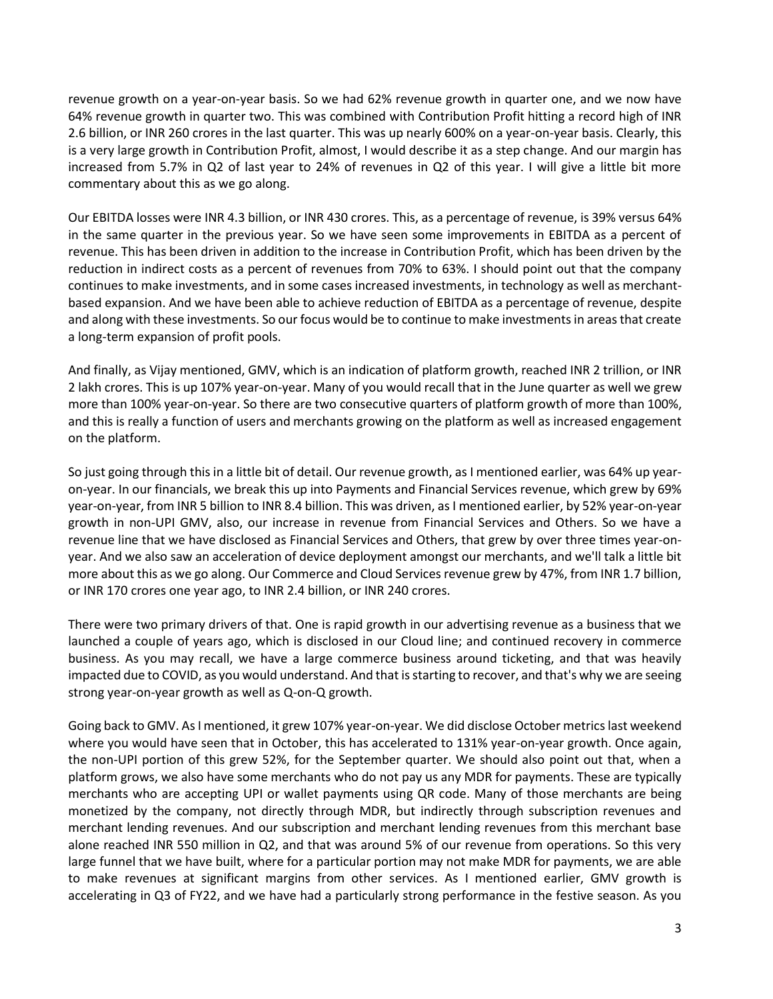revenue growth on a year-on-year basis. So we had 62% revenue growth in quarter one, and we now have 64% revenue growth in quarter two. This was combined with Contribution Profit hitting a record high of INR 2.6 billion, or INR 260 crores in the last quarter. This was up nearly 600% on a year-on-year basis. Clearly, this is a very large growth in Contribution Profit, almost, I would describe it as a step change. And our margin has increased from 5.7% in Q2 of last year to 24% of revenues in Q2 of this year. I will give a little bit more commentary about this as we go along.

Our EBITDA losses were INR 4.3 billion, or INR 430 crores. This, as a percentage of revenue, is 39% versus 64% in the same quarter in the previous year. So we have seen some improvements in EBITDA as a percent of revenue. This has been driven in addition to the increase in Contribution Profit, which has been driven by the reduction in indirect costs as a percent of revenues from 70% to 63%. I should point out that the company continues to make investments, and in some cases increased investments, in technology as well as merchantbased expansion. And we have been able to achieve reduction of EBITDA as a percentage of revenue, despite and along with these investments. So our focus would be to continue to make investments in areas that create a long-term expansion of profit pools.

And finally, as Vijay mentioned, GMV, which is an indication of platform growth, reached INR 2 trillion, or INR 2 lakh crores. This is up 107% year-on-year. Many of you would recall that in the June quarter as well we grew more than 100% year-on-year. So there are two consecutive quarters of platform growth of more than 100%, and this is really a function of users and merchants growing on the platform as well as increased engagement on the platform.

So just going through this in a little bit of detail. Our revenue growth, as I mentioned earlier, was 64% up yearon-year. In our financials, we break this up into Payments and Financial Services revenue, which grew by 69% year-on-year, from INR 5 billion to INR 8.4 billion. This was driven, as I mentioned earlier, by 52% year-on-year growth in non-UPI GMV, also, our increase in revenue from Financial Services and Others. So we have a revenue line that we have disclosed as Financial Services and Others, that grew by over three times year-onyear. And we also saw an acceleration of device deployment amongst our merchants, and we'll talk a little bit more about this as we go along. Our Commerce and Cloud Services revenue grew by 47%, from INR 1.7 billion, or INR 170 crores one year ago, to INR 2.4 billion, or INR 240 crores.

There were two primary drivers of that. One is rapid growth in our advertising revenue as a business that we launched a couple of years ago, which is disclosed in our Cloud line; and continued recovery in commerce business. As you may recall, we have a large commerce business around ticketing, and that was heavily impacted due to COVID, as you would understand. And that is starting to recover, and that's why we are seeing strong year-on-year growth as well as Q-on-Q growth.

Going back to GMV. As I mentioned, it grew 107% year-on-year. We did disclose October metrics last weekend where you would have seen that in October, this has accelerated to 131% year-on-year growth. Once again, the non-UPI portion of this grew 52%, for the September quarter. We should also point out that, when a platform grows, we also have some merchants who do not pay us any MDR for payments. These are typically merchants who are accepting UPI or wallet payments using QR code. Many of those merchants are being monetized by the company, not directly through MDR, but indirectly through subscription revenues and merchant lending revenues. And our subscription and merchant lending revenues from this merchant base alone reached INR 550 million in Q2, and that was around 5% of our revenue from operations. So this very large funnel that we have built, where for a particular portion may not make MDR for payments, we are able to make revenues at significant margins from other services. As I mentioned earlier, GMV growth is accelerating in Q3 of FY22, and we have had a particularly strong performance in the festive season. As you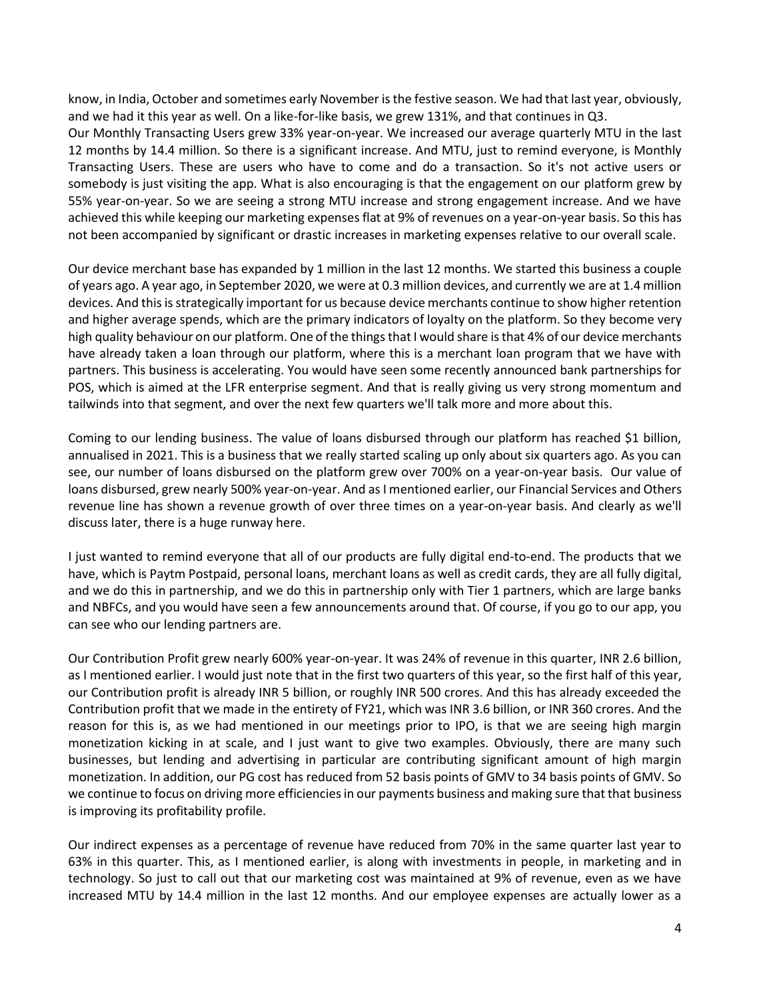know, in India, October and sometimes early November is the festive season. We had that last year, obviously, and we had it this year as well. On a like-for-like basis, we grew 131%, and that continues in Q3.

Our Monthly Transacting Users grew 33% year-on-year. We increased our average quarterly MTU in the last 12 months by 14.4 million. So there is a significant increase. And MTU, just to remind everyone, is Monthly Transacting Users. These are users who have to come and do a transaction. So it's not active users or somebody is just visiting the app. What is also encouraging is that the engagement on our platform grew by 55% year-on-year. So we are seeing a strong MTU increase and strong engagement increase. And we have achieved this while keeping our marketing expenses flat at 9% of revenues on a year-on-year basis. So this has not been accompanied by significant or drastic increases in marketing expenses relative to our overall scale.

Our device merchant base has expanded by 1 million in the last 12 months. We started this business a couple of years ago. A year ago, in September 2020, we were at 0.3 million devices, and currently we are at 1.4 million devices. And this is strategically important for us because device merchants continue to show higher retention and higher average spends, which are the primary indicators of loyalty on the platform. So they become very high quality behaviour on our platform. One of the things that I would share is that 4% of our device merchants have already taken a loan through our platform, where this is a merchant loan program that we have with partners. This business is accelerating. You would have seen some recently announced bank partnerships for POS, which is aimed at the LFR enterprise segment. And that is really giving us very strong momentum and tailwinds into that segment, and over the next few quarters we'll talk more and more about this.

Coming to our lending business. The value of loans disbursed through our platform has reached \$1 billion, annualised in 2021. This is a business that we really started scaling up only about six quarters ago. As you can see, our number of loans disbursed on the platform grew over 700% on a year-on-year basis. Our value of loans disbursed, grew nearly 500% year-on-year. And as I mentioned earlier, our Financial Services and Others revenue line has shown a revenue growth of over three times on a year-on-year basis. And clearly as we'll discuss later, there is a huge runway here.

I just wanted to remind everyone that all of our products are fully digital end-to-end. The products that we have, which is Paytm Postpaid, personal loans, merchant loans as well as credit cards, they are all fully digital, and we do this in partnership, and we do this in partnership only with Tier 1 partners, which are large banks and NBFCs, and you would have seen a few announcements around that. Of course, if you go to our app, you can see who our lending partners are.

Our Contribution Profit grew nearly 600% year-on-year. It was 24% of revenue in this quarter, INR 2.6 billion, as I mentioned earlier. I would just note that in the first two quarters of this year, so the first half of this year, our Contribution profit is already INR 5 billion, or roughly INR 500 crores. And this has already exceeded the Contribution profit that we made in the entirety of FY21, which was INR 3.6 billion, or INR 360 crores. And the reason for this is, as we had mentioned in our meetings prior to IPO, is that we are seeing high margin monetization kicking in at scale, and I just want to give two examples. Obviously, there are many such businesses, but lending and advertising in particular are contributing significant amount of high margin monetization. In addition, our PG cost has reduced from 52 basis points of GMV to 34 basis points of GMV. So we continue to focus on driving more efficiencies in our payments business and making sure that that business is improving its profitability profile.

Our indirect expenses as a percentage of revenue have reduced from 70% in the same quarter last year to 63% in this quarter. This, as I mentioned earlier, is along with investments in people, in marketing and in technology. So just to call out that our marketing cost was maintained at 9% of revenue, even as we have increased MTU by 14.4 million in the last 12 months. And our employee expenses are actually lower as a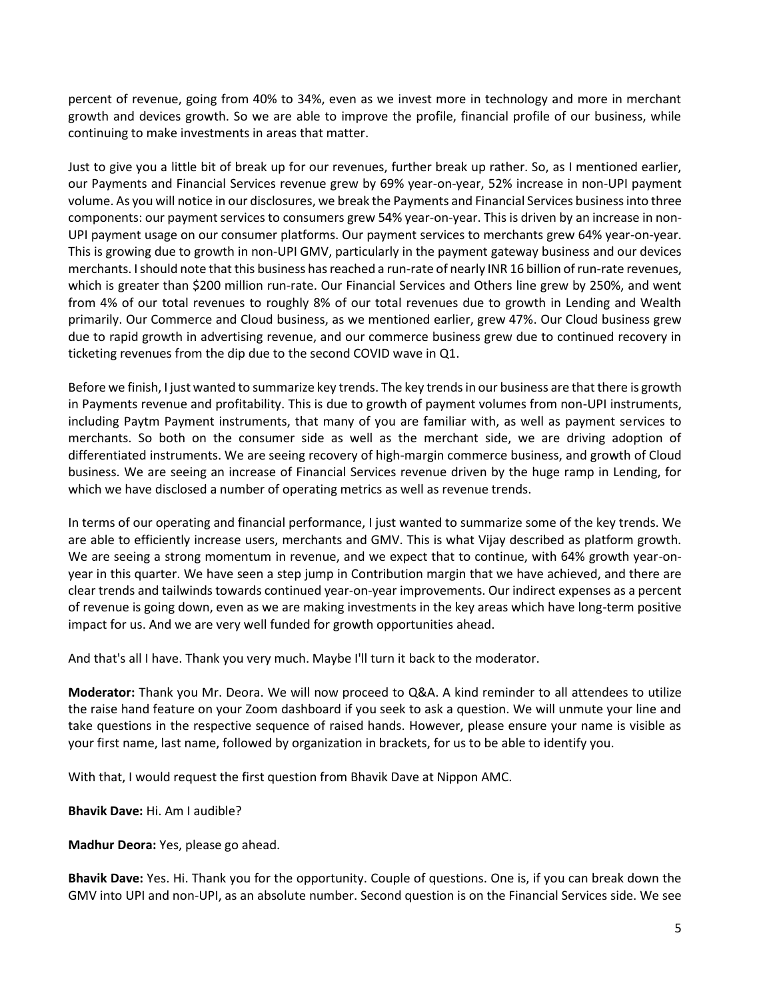percent of revenue, going from 40% to 34%, even as we invest more in technology and more in merchant growth and devices growth. So we are able to improve the profile, financial profile of our business, while continuing to make investments in areas that matter.

Just to give you a little bit of break up for our revenues, further break up rather. So, as I mentioned earlier, our Payments and Financial Services revenue grew by 69% year-on-year, 52% increase in non-UPI payment volume. As you will notice in our disclosures, we break the Payments and Financial Services business into three components: our payment services to consumers grew 54% year-on-year. This is driven by an increase in non-UPI payment usage on our consumer platforms. Our payment services to merchants grew 64% year-on-year. This is growing due to growth in non-UPI GMV, particularly in the payment gateway business and our devices merchants. I should note that this business has reached a run-rate of nearly INR 16 billion of run-rate revenues, which is greater than \$200 million run-rate. Our Financial Services and Others line grew by 250%, and went from 4% of our total revenues to roughly 8% of our total revenues due to growth in Lending and Wealth primarily. Our Commerce and Cloud business, as we mentioned earlier, grew 47%. Our Cloud business grew due to rapid growth in advertising revenue, and our commerce business grew due to continued recovery in ticketing revenues from the dip due to the second COVID wave in Q1.

Before we finish, I just wanted to summarize key trends. The key trends in our business are that there is growth in Payments revenue and profitability. This is due to growth of payment volumes from non-UPI instruments, including Paytm Payment instruments, that many of you are familiar with, as well as payment services to merchants. So both on the consumer side as well as the merchant side, we are driving adoption of differentiated instruments. We are seeing recovery of high-margin commerce business, and growth of Cloud business. We are seeing an increase of Financial Services revenue driven by the huge ramp in Lending, for which we have disclosed a number of operating metrics as well as revenue trends.

In terms of our operating and financial performance, I just wanted to summarize some of the key trends. We are able to efficiently increase users, merchants and GMV. This is what Vijay described as platform growth. We are seeing a strong momentum in revenue, and we expect that to continue, with 64% growth year-onyear in this quarter. We have seen a step jump in Contribution margin that we have achieved, and there are clear trends and tailwinds towards continued year-on-year improvements. Our indirect expenses as a percent of revenue is going down, even as we are making investments in the key areas which have long-term positive impact for us. And we are very well funded for growth opportunities ahead.

And that's all I have. Thank you very much. Maybe I'll turn it back to the moderator.

**Moderator:** Thank you Mr. Deora. We will now proceed to Q&A. A kind reminder to all attendees to utilize the raise hand feature on your Zoom dashboard if you seek to ask a question. We will unmute your line and take questions in the respective sequence of raised hands. However, please ensure your name is visible as your first name, last name, followed by organization in brackets, for us to be able to identify you.

With that, I would request the first question from Bhavik Dave at Nippon AMC.

**Bhavik Dave:** Hi. Am I audible?

**Madhur Deora:** Yes, please go ahead.

**Bhavik Dave:** Yes. Hi. Thank you for the opportunity. Couple of questions. One is, if you can break down the GMV into UPI and non-UPI, as an absolute number. Second question is on the Financial Services side. We see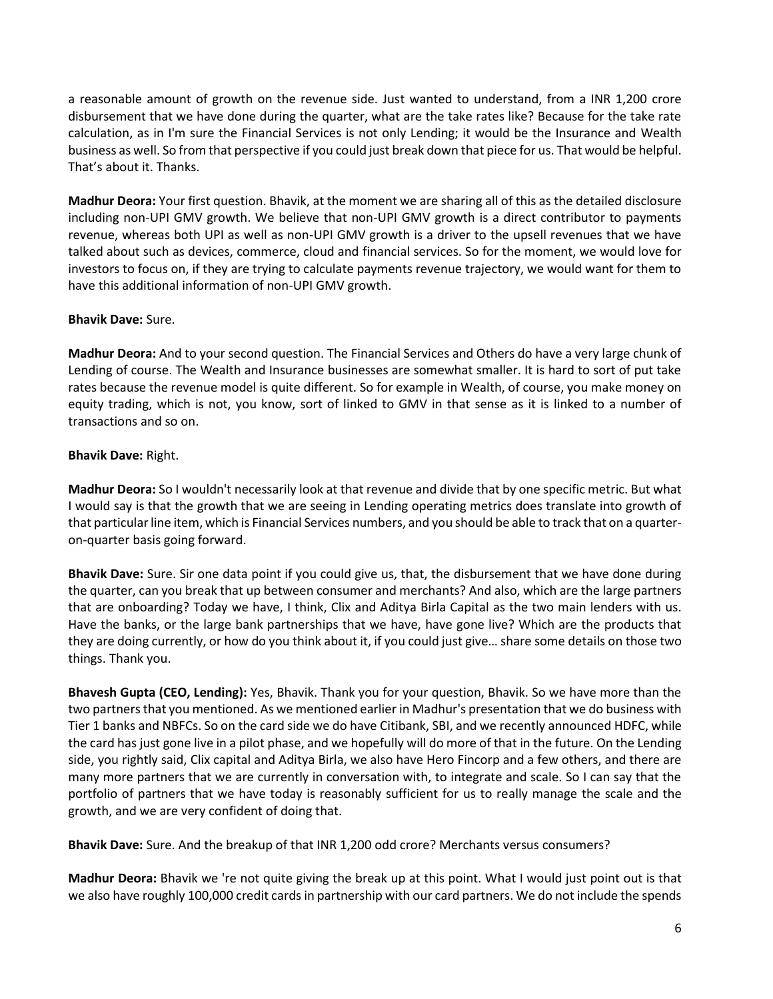a reasonable amount of growth on the revenue side. Just wanted to understand, from a INR 1,200 crore disbursement that we have done during the quarter, what are the take rates like? Because for the take rate calculation, as in I'm sure the Financial Services is not only Lending; it would be the Insurance and Wealth business as well. So from that perspective if you could just break down that piece for us. That would be helpful. That's about it. Thanks.

**Madhur Deora:** Your first question. Bhavik, at the moment we are sharing all of this as the detailed disclosure including non-UPI GMV growth. We believe that non-UPI GMV growth is a direct contributor to payments revenue, whereas both UPI as well as non-UPI GMV growth is a driver to the upsell revenues that we have talked about such as devices, commerce, cloud and financial services. So for the moment, we would love for investors to focus on, if they are trying to calculate payments revenue trajectory, we would want for them to have this additional information of non-UPI GMV growth.

### **Bhavik Dave:** Sure.

**Madhur Deora:** And to your second question. The Financial Services and Others do have a very large chunk of Lending of course. The Wealth and Insurance businesses are somewhat smaller. It is hard to sort of put take rates because the revenue model is quite different. So for example in Wealth, of course, you make money on equity trading, which is not, you know, sort of linked to GMV in that sense as it is linked to a number of transactions and so on.

# **Bhavik Dave:** Right.

**Madhur Deora:** So I wouldn't necessarily look at that revenue and divide that by one specific metric. But what I would say is that the growth that we are seeing in Lending operating metrics does translate into growth of that particular line item, which is Financial Services numbers, and you should be able to track that on a quarteron-quarter basis going forward.

**Bhavik Dave:** Sure. Sir one data point if you could give us, that, the disbursement that we have done during the quarter, can you break that up between consumer and merchants? And also, which are the large partners that are onboarding? Today we have, I think, Clix and Aditya Birla Capital as the two main lenders with us. Have the banks, or the large bank partnerships that we have, have gone live? Which are the products that they are doing currently, or how do you think about it, if you could just give… share some details on those two things. Thank you.

**Bhavesh Gupta (CEO, Lending):** Yes, Bhavik. Thank you for your question, Bhavik. So we have more than the two partners that you mentioned. As we mentioned earlier in Madhur's presentation that we do business with Tier 1 banks and NBFCs. So on the card side we do have Citibank, SBI, and we recently announced HDFC, while the card has just gone live in a pilot phase, and we hopefully will do more of that in the future. On the Lending side, you rightly said, Clix capital and Aditya Birla, we also have Hero Fincorp and a few others, and there are many more partners that we are currently in conversation with, to integrate and scale. So I can say that the portfolio of partners that we have today is reasonably sufficient for us to really manage the scale and the growth, and we are very confident of doing that.

**Bhavik Dave:** Sure. And the breakup of that INR 1,200 odd crore? Merchants versus consumers?

**Madhur Deora:** Bhavik we 're not quite giving the break up at this point. What I would just point out is that we also have roughly 100,000 credit cards in partnership with our card partners. We do not include the spends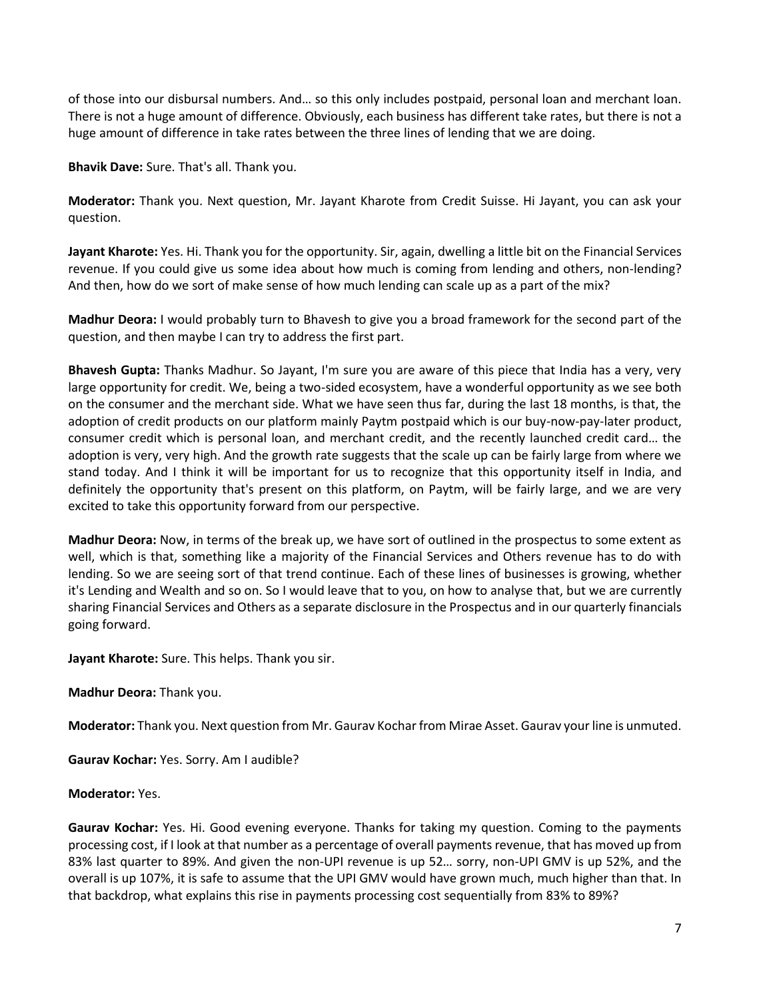of those into our disbursal numbers. And… so this only includes postpaid, personal loan and merchant loan. There is not a huge amount of difference. Obviously, each business has different take rates, but there is not a huge amount of difference in take rates between the three lines of lending that we are doing.

**Bhavik Dave:** Sure. That's all. Thank you.

**Moderator:** Thank you. Next question, Mr. Jayant Kharote from Credit Suisse. Hi Jayant, you can ask your question.

**Jayant Kharote:** Yes. Hi. Thank you for the opportunity. Sir, again, dwelling a little bit on the Financial Services revenue. If you could give us some idea about how much is coming from lending and others, non-lending? And then, how do we sort of make sense of how much lending can scale up as a part of the mix?

**Madhur Deora:** I would probably turn to Bhavesh to give you a broad framework for the second part of the question, and then maybe I can try to address the first part.

**Bhavesh Gupta:** Thanks Madhur. So Jayant, I'm sure you are aware of this piece that India has a very, very large opportunity for credit. We, being a two-sided ecosystem, have a wonderful opportunity as we see both on the consumer and the merchant side. What we have seen thus far, during the last 18 months, is that, the adoption of credit products on our platform mainly Paytm postpaid which is our buy-now-pay-later product, consumer credit which is personal loan, and merchant credit, and the recently launched credit card… the adoption is very, very high. And the growth rate suggests that the scale up can be fairly large from where we stand today. And I think it will be important for us to recognize that this opportunity itself in India, and definitely the opportunity that's present on this platform, on Paytm, will be fairly large, and we are very excited to take this opportunity forward from our perspective.

**Madhur Deora:** Now, in terms of the break up, we have sort of outlined in the prospectus to some extent as well, which is that, something like a majority of the Financial Services and Others revenue has to do with lending. So we are seeing sort of that trend continue. Each of these lines of businesses is growing, whether it's Lending and Wealth and so on. So I would leave that to you, on how to analyse that, but we are currently sharing Financial Services and Others as a separate disclosure in the Prospectus and in our quarterly financials going forward.

**Jayant Kharote:** Sure. This helps. Thank you sir.

**Madhur Deora:** Thank you.

**Moderator:** Thank you. Next question from Mr. Gaurav Kochar from Mirae Asset. Gaurav your line is unmuted.

**Gaurav Kochar:** Yes. Sorry. Am I audible?

**Moderator:** Yes.

**Gaurav Kochar:** Yes. Hi. Good evening everyone. Thanks for taking my question. Coming to the payments processing cost, if I look at that number as a percentage of overall payments revenue, that has moved up from 83% last quarter to 89%. And given the non-UPI revenue is up 52… sorry, non-UPI GMV is up 52%, and the overall is up 107%, it is safe to assume that the UPI GMV would have grown much, much higher than that. In that backdrop, what explains this rise in payments processing cost sequentially from 83% to 89%?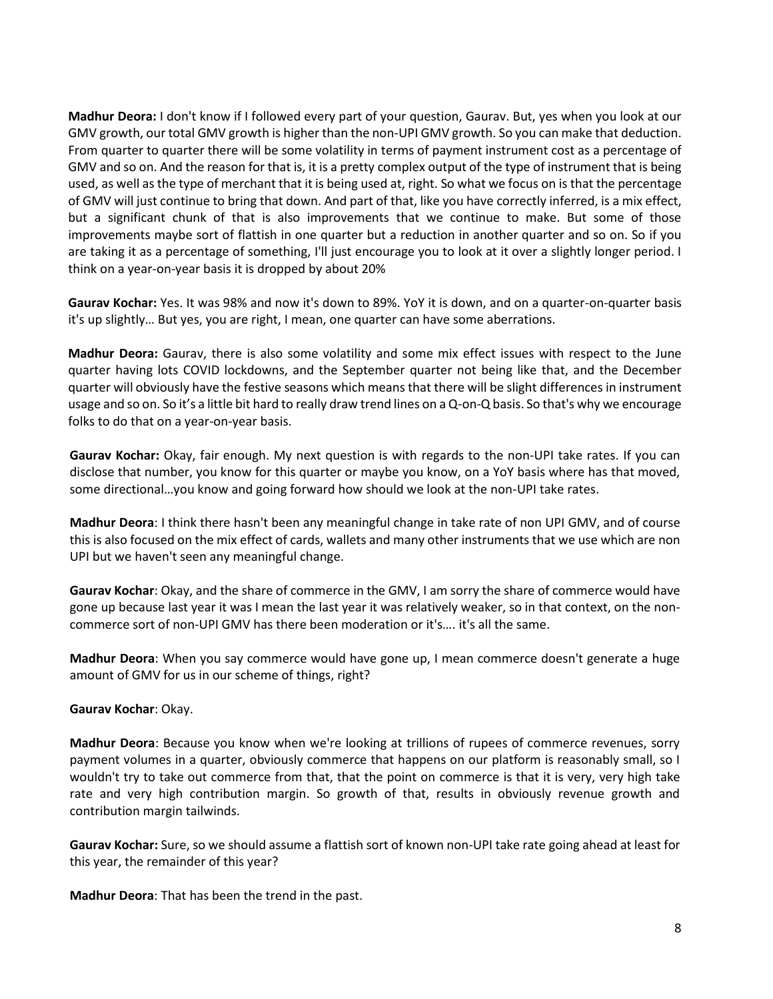**Madhur Deora:** I don't know if I followed every part of your question, Gaurav. But, yes when you look at our GMV growth, our total GMV growth is higher than the non-UPI GMV growth. So you can make that deduction. From quarter to quarter there will be some volatility in terms of payment instrument cost as a percentage of GMV and so on. And the reason for that is, it is a pretty complex output of the type of instrument that is being used, as well as the type of merchant that it is being used at, right. So what we focus on is that the percentage of GMV will just continue to bring that down. And part of that, like you have correctly inferred, is a mix effect, but a significant chunk of that is also improvements that we continue to make. But some of those improvements maybe sort of flattish in one quarter but a reduction in another quarter and so on. So if you are taking it as a percentage of something, I'll just encourage you to look at it over a slightly longer period. I think on a year-on-year basis it is dropped by about 20%

**Gaurav Kochar:** Yes. It was 98% and now it's down to 89%. YoY it is down, and on a quarter-on-quarter basis it's up slightly… But yes, you are right, I mean, one quarter can have some aberrations.

**Madhur Deora:** Gaurav, there is also some volatility and some mix effect issues with respect to the June quarter having lots COVID lockdowns, and the September quarter not being like that, and the December quarter will obviously have the festive seasons which means that there will be slight differences in instrument usage and so on. So it's a little bit hard to really draw trend lines on a Q-on-Q basis. So that's why we encourage folks to do that on a year-on-year basis.

**Gaurav Kochar:** Okay, fair enough. My next question is with regards to the non-UPI take rates. If you can disclose that number, you know for this quarter or maybe you know, on a YoY basis where has that moved, some directional…you know and going forward how should we look at the non-UPI take rates.

**Madhur Deora**: I think there hasn't been any meaningful change in take rate of non UPI GMV, and of course this is also focused on the mix effect of cards, wallets and many other instruments that we use which are non UPI but we haven't seen any meaningful change.

**Gaurav Kochar**: Okay, and the share of commerce in the GMV, I am sorry the share of commerce would have gone up because last year it was I mean the last year it was relatively weaker, so in that context, on the noncommerce sort of non-UPI GMV has there been moderation or it's…. it's all the same.

**Madhur Deora**: When you say commerce would have gone up, I mean commerce doesn't generate a huge amount of GMV for us in our scheme of things, right?

### **Gaurav Kochar**: Okay.

**Madhur Deora**: Because you know when we're looking at trillions of rupees of commerce revenues, sorry payment volumes in a quarter, obviously commerce that happens on our platform is reasonably small, so I wouldn't try to take out commerce from that, that the point on commerce is that it is very, very high take rate and very high contribution margin. So growth of that, results in obviously revenue growth and contribution margin tailwinds.

**Gaurav Kochar:** Sure, so we should assume a flattish sort of known non-UPI take rate going ahead at least for this year, the remainder of this year?

**Madhur Deora**: That has been the trend in the past.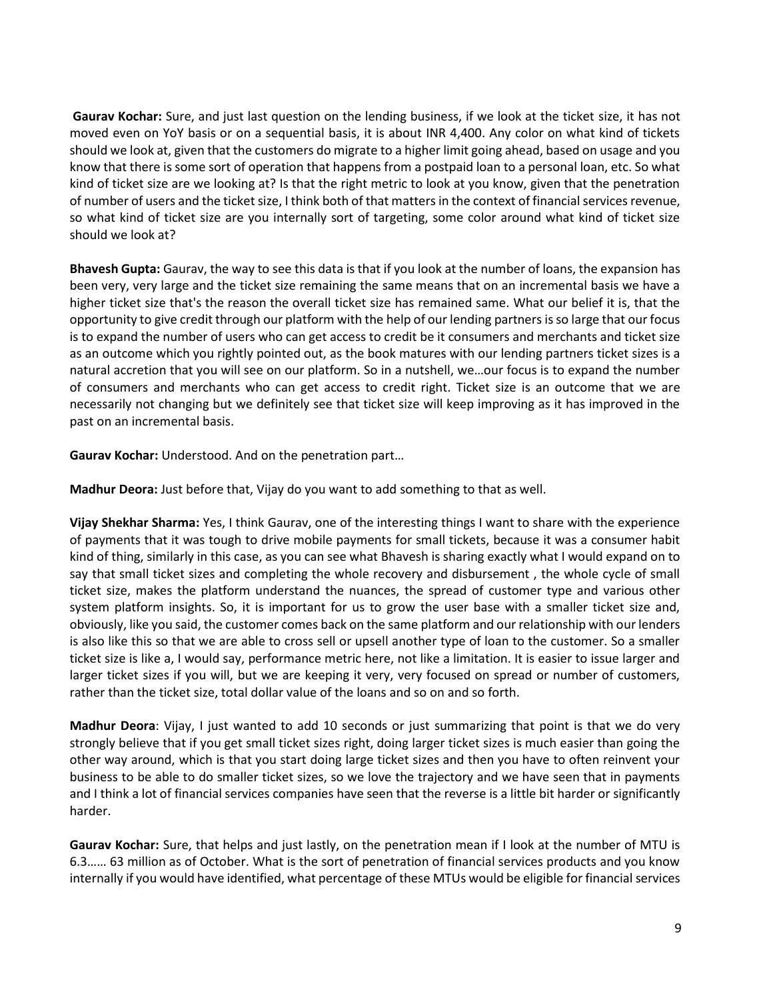**Gaurav Kochar:** Sure, and just last question on the lending business, if we look at the ticket size, it has not moved even on YoY basis or on a sequential basis, it is about INR 4,400. Any color on what kind of tickets should we look at, given that the customers do migrate to a higher limit going ahead, based on usage and you know that there is some sort of operation that happens from a postpaid loan to a personal loan, etc. So what kind of ticket size are we looking at? Is that the right metric to look at you know, given that the penetration of number of users and the ticket size, I think both of that matters in the context of financial services revenue, so what kind of ticket size are you internally sort of targeting, some color around what kind of ticket size should we look at?

**Bhavesh Gupta:** Gaurav, the way to see this data is that if you look at the number of loans, the expansion has been very, very large and the ticket size remaining the same means that on an incremental basis we have a higher ticket size that's the reason the overall ticket size has remained same. What our belief it is, that the opportunity to give credit through our platform with the help of our lending partners is so large that our focus is to expand the number of users who can get access to credit be it consumers and merchants and ticket size as an outcome which you rightly pointed out, as the book matures with our lending partners ticket sizes is a natural accretion that you will see on our platform. So in a nutshell, we…our focus is to expand the number of consumers and merchants who can get access to credit right. Ticket size is an outcome that we are necessarily not changing but we definitely see that ticket size will keep improving as it has improved in the past on an incremental basis.

**Gaurav Kochar:** Understood. And on the penetration part…

**Madhur Deora:** Just before that, Vijay do you want to add something to that as well.

**Vijay Shekhar Sharma:** Yes, I think Gaurav, one of the interesting things I want to share with the experience of payments that it was tough to drive mobile payments for small tickets, because it was a consumer habit kind of thing, similarly in this case, as you can see what Bhavesh is sharing exactly what I would expand on to say that small ticket sizes and completing the whole recovery and disbursement , the whole cycle of small ticket size, makes the platform understand the nuances, the spread of customer type and various other system platform insights. So, it is important for us to grow the user base with a smaller ticket size and, obviously, like you said, the customer comes back on the same platform and our relationship with our lenders is also like this so that we are able to cross sell or upsell another type of loan to the customer. So a smaller ticket size is like a, I would say, performance metric here, not like a limitation. It is easier to issue larger and larger ticket sizes if you will, but we are keeping it very, very focused on spread or number of customers, rather than the ticket size, total dollar value of the loans and so on and so forth.

**Madhur Deora**: Vijay, I just wanted to add 10 seconds or just summarizing that point is that we do very strongly believe that if you get small ticket sizes right, doing larger ticket sizes is much easier than going the other way around, which is that you start doing large ticket sizes and then you have to often reinvent your business to be able to do smaller ticket sizes, so we love the trajectory and we have seen that in payments and I think a lot of financial services companies have seen that the reverse is a little bit harder or significantly harder.

**Gaurav Kochar:** Sure, that helps and just lastly, on the penetration mean if I look at the number of MTU is 6.3…… 63 million as of October. What is the sort of penetration of financial services products and you know internally if you would have identified, what percentage of these MTUs would be eligible for financial services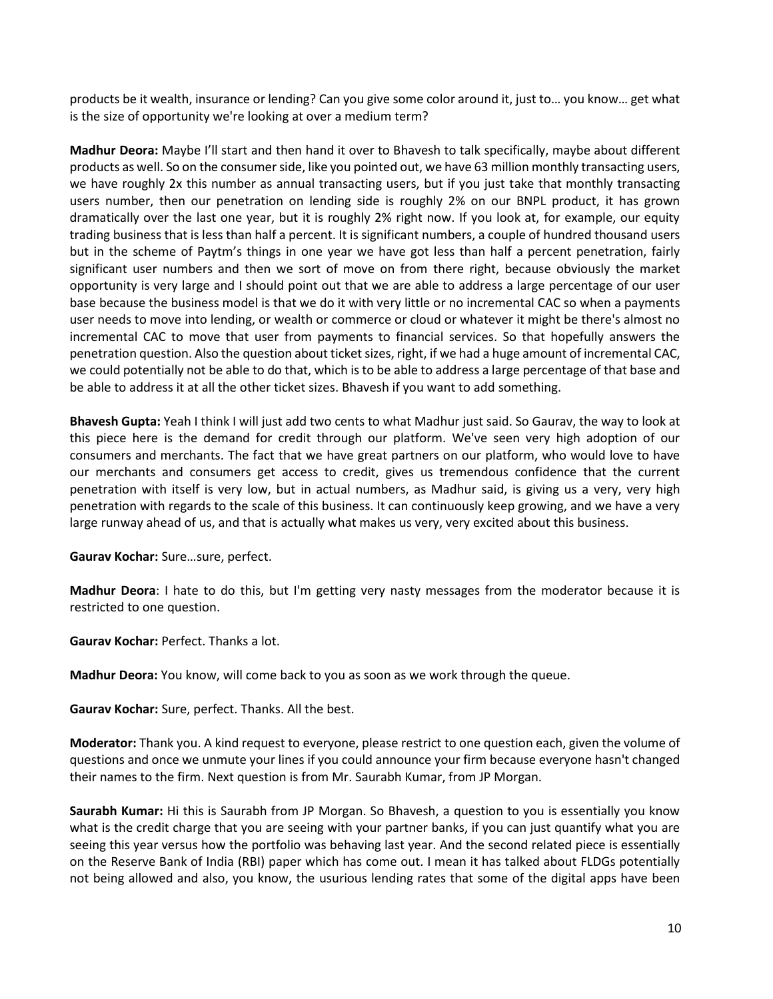products be it wealth, insurance or lending? Can you give some color around it, just to… you know… get what is the size of opportunity we're looking at over a medium term?

**Madhur Deora:** Maybe I'll start and then hand it over to Bhavesh to talk specifically, maybe about different products as well. So on the consumer side, like you pointed out, we have 63 million monthly transacting users, we have roughly 2x this number as annual transacting users, but if you just take that monthly transacting users number, then our penetration on lending side is roughly 2% on our BNPL product, it has grown dramatically over the last one year, but it is roughly 2% right now. If you look at, for example, our equity trading business that is less than half a percent. It is significant numbers, a couple of hundred thousand users but in the scheme of Paytm's things in one year we have got less than half a percent penetration, fairly significant user numbers and then we sort of move on from there right, because obviously the market opportunity is very large and I should point out that we are able to address a large percentage of our user base because the business model is that we do it with very little or no incremental CAC so when a payments user needs to move into lending, or wealth or commerce or cloud or whatever it might be there's almost no incremental CAC to move that user from payments to financial services. So that hopefully answers the penetration question. Also the question about ticket sizes, right, if we had a huge amount of incremental CAC, we could potentially not be able to do that, which is to be able to address a large percentage of that base and be able to address it at all the other ticket sizes. Bhavesh if you want to add something.

**Bhavesh Gupta:** Yeah I think I will just add two cents to what Madhur just said. So Gaurav, the way to look at this piece here is the demand for credit through our platform. We've seen very high adoption of our consumers and merchants. The fact that we have great partners on our platform, who would love to have our merchants and consumers get access to credit, gives us tremendous confidence that the current penetration with itself is very low, but in actual numbers, as Madhur said, is giving us a very, very high penetration with regards to the scale of this business. It can continuously keep growing, and we have a very large runway ahead of us, and that is actually what makes us very, very excited about this business.

**Gaurav Kochar:** Sure…sure, perfect.

**Madhur Deora**: I hate to do this, but I'm getting very nasty messages from the moderator because it is restricted to one question.

**Gaurav Kochar:** Perfect. Thanks a lot.

**Madhur Deora:** You know, will come back to you as soon as we work through the queue.

**Gaurav Kochar:** Sure, perfect. Thanks. All the best.

**Moderator:** Thank you. A kind request to everyone, please restrict to one question each, given the volume of questions and once we unmute your lines if you could announce your firm because everyone hasn't changed their names to the firm. Next question is from Mr. Saurabh Kumar, from JP Morgan.

**Saurabh Kumar:** Hi this is Saurabh from JP Morgan. So Bhavesh, a question to you is essentially you know what is the credit charge that you are seeing with your partner banks, if you can just quantify what you are seeing this year versus how the portfolio was behaving last year. And the second related piece is essentially on the Reserve Bank of India (RBI) paper which has come out. I mean it has talked about FLDGs potentially not being allowed and also, you know, the usurious lending rates that some of the digital apps have been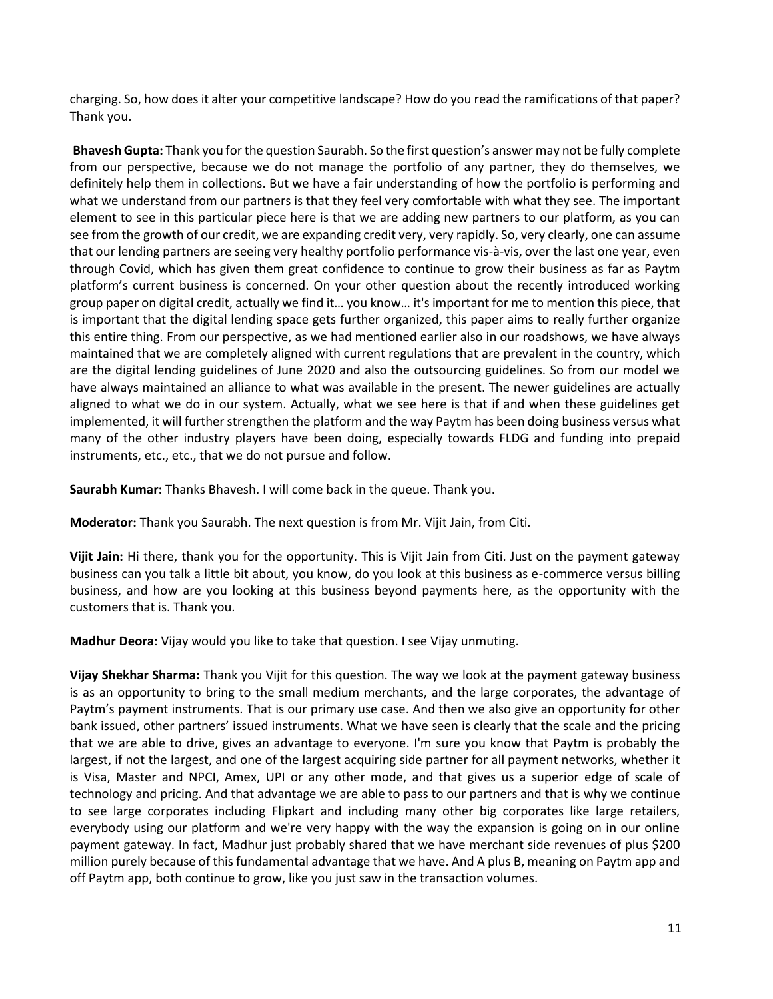charging. So, how does it alter your competitive landscape? How do you read the ramifications of that paper? Thank you.

**Bhavesh Gupta:** Thank you for the question Saurabh. So the first question's answer may not be fully complete from our perspective, because we do not manage the portfolio of any partner, they do themselves, we definitely help them in collections. But we have a fair understanding of how the portfolio is performing and what we understand from our partners is that they feel very comfortable with what they see. The important element to see in this particular piece here is that we are adding new partners to our platform, as you can see from the growth of our credit, we are expanding credit very, very rapidly. So, very clearly, one can assume that our lending partners are seeing very healthy portfolio performance vis-à-vis, over the last one year, even through Covid, which has given them great confidence to continue to grow their business as far as Paytm platform's current business is concerned. On your other question about the recently introduced working group paper on digital credit, actually we find it… you know… it's important for me to mention this piece, that is important that the digital lending space gets further organized, this paper aims to really further organize this entire thing. From our perspective, as we had mentioned earlier also in our roadshows, we have always maintained that we are completely aligned with current regulations that are prevalent in the country, which are the digital lending guidelines of June 2020 and also the outsourcing guidelines. So from our model we have always maintained an alliance to what was available in the present. The newer guidelines are actually aligned to what we do in our system. Actually, what we see here is that if and when these guidelines get implemented, it will further strengthen the platform and the way Paytm has been doing business versus what many of the other industry players have been doing, especially towards FLDG and funding into prepaid instruments, etc., etc., that we do not pursue and follow.

**Saurabh Kumar:** Thanks Bhavesh. I will come back in the queue. Thank you.

**Moderator:** Thank you Saurabh. The next question is from Mr. Vijit Jain, from Citi.

**Vijit Jain:** Hi there, thank you for the opportunity. This is Vijit Jain from Citi. Just on the payment gateway business can you talk a little bit about, you know, do you look at this business as e-commerce versus billing business, and how are you looking at this business beyond payments here, as the opportunity with the customers that is. Thank you.

**Madhur Deora**: Vijay would you like to take that question. I see Vijay unmuting.

**Vijay Shekhar Sharma:** Thank you Vijit for this question. The way we look at the payment gateway business is as an opportunity to bring to the small medium merchants, and the large corporates, the advantage of Paytm's payment instruments. That is our primary use case. And then we also give an opportunity for other bank issued, other partners' issued instruments. What we have seen is clearly that the scale and the pricing that we are able to drive, gives an advantage to everyone. I'm sure you know that Paytm is probably the largest, if not the largest, and one of the largest acquiring side partner for all payment networks, whether it is Visa, Master and NPCI, Amex, UPI or any other mode, and that gives us a superior edge of scale of technology and pricing. And that advantage we are able to pass to our partners and that is why we continue to see large corporates including Flipkart and including many other big corporates like large retailers, everybody using our platform and we're very happy with the way the expansion is going on in our online payment gateway. In fact, Madhur just probably shared that we have merchant side revenues of plus \$200 million purely because of this fundamental advantage that we have. And A plus B, meaning on Paytm app and off Paytm app, both continue to grow, like you just saw in the transaction volumes.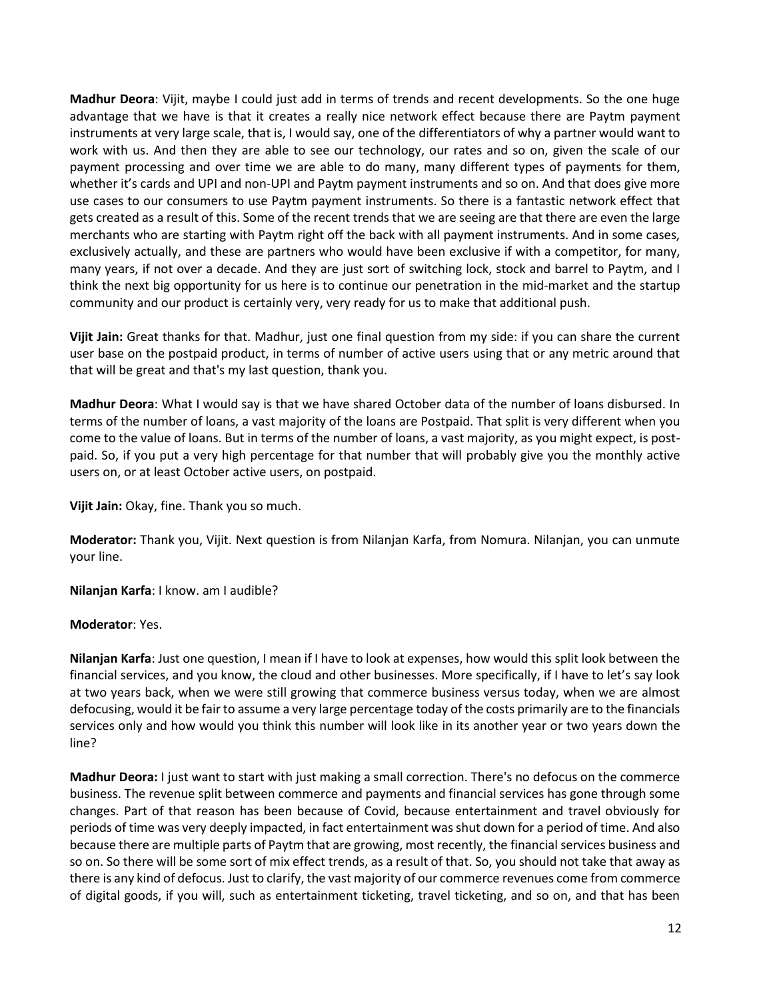**Madhur Deora**: Vijit, maybe I could just add in terms of trends and recent developments. So the one huge advantage that we have is that it creates a really nice network effect because there are Paytm payment instruments at very large scale, that is, I would say, one of the differentiators of why a partner would want to work with us. And then they are able to see our technology, our rates and so on, given the scale of our payment processing and over time we are able to do many, many different types of payments for them, whether it's cards and UPI and non-UPI and Paytm payment instruments and so on. And that does give more use cases to our consumers to use Paytm payment instruments. So there is a fantastic network effect that gets created as a result of this. Some of the recent trends that we are seeing are that there are even the large merchants who are starting with Paytm right off the back with all payment instruments. And in some cases, exclusively actually, and these are partners who would have been exclusive if with a competitor, for many, many years, if not over a decade. And they are just sort of switching lock, stock and barrel to Paytm, and I think the next big opportunity for us here is to continue our penetration in the mid-market and the startup community and our product is certainly very, very ready for us to make that additional push.

**Vijit Jain:** Great thanks for that. Madhur, just one final question from my side: if you can share the current user base on the postpaid product, in terms of number of active users using that or any metric around that that will be great and that's my last question, thank you.

**Madhur Deora**: What I would say is that we have shared October data of the number of loans disbursed. In terms of the number of loans, a vast majority of the loans are Postpaid. That split is very different when you come to the value of loans. But in terms of the number of loans, a vast majority, as you might expect, is postpaid. So, if you put a very high percentage for that number that will probably give you the monthly active users on, or at least October active users, on postpaid.

**Vijit Jain:** Okay, fine. Thank you so much.

**Moderator:** Thank you, Vijit. Next question is from Nilanjan Karfa, from Nomura. Nilanjan, you can unmute your line.

**Nilanjan Karfa**: I know. am I audible?

### **Moderator**: Yes.

**Nilanjan Karfa**: Just one question, I mean if I have to look at expenses, how would this split look between the financial services, and you know, the cloud and other businesses. More specifically, if I have to let's say look at two years back, when we were still growing that commerce business versus today, when we are almost defocusing, would it be fair to assume a very large percentage today of the costs primarily are to the financials services only and how would you think this number will look like in its another year or two years down the line?

**Madhur Deora:** I just want to start with just making a small correction. There's no defocus on the commerce business. The revenue split between commerce and payments and financial services has gone through some changes. Part of that reason has been because of Covid, because entertainment and travel obviously for periods of time was very deeply impacted, in fact entertainment was shut down for a period of time. And also because there are multiple parts of Paytm that are growing, most recently, the financial services business and so on. So there will be some sort of mix effect trends, as a result of that. So, you should not take that away as there is any kind of defocus. Just to clarify, the vast majority of our commerce revenues come from commerce of digital goods, if you will, such as entertainment ticketing, travel ticketing, and so on, and that has been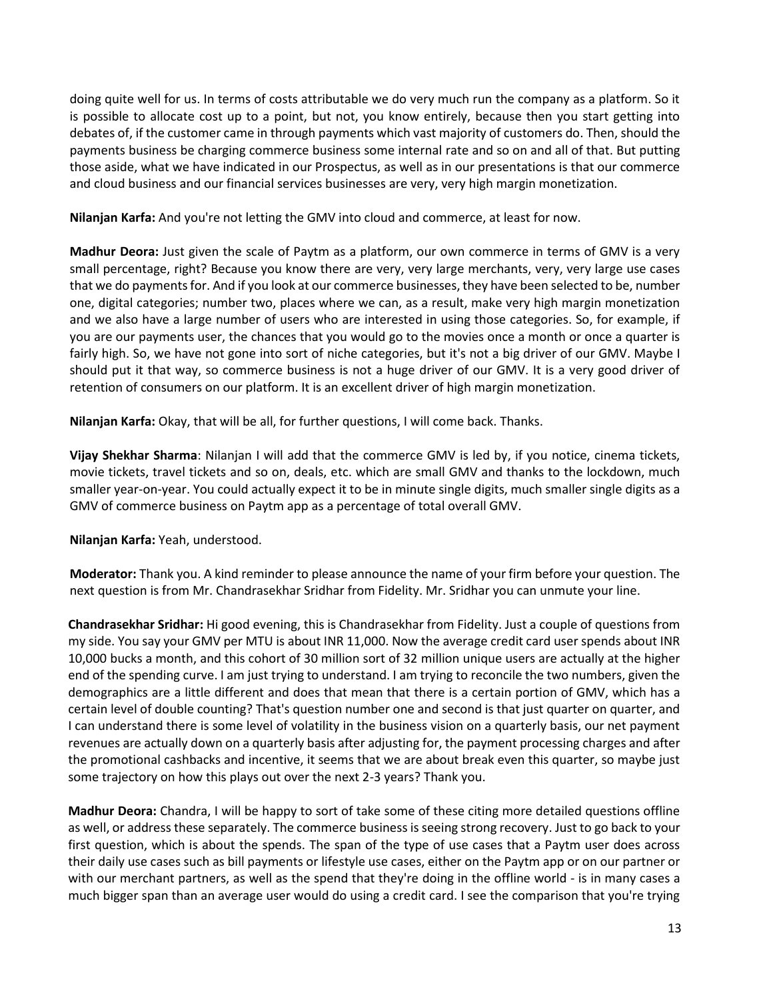doing quite well for us. In terms of costs attributable we do very much run the company as a platform. So it is possible to allocate cost up to a point, but not, you know entirely, because then you start getting into debates of, if the customer came in through payments which vast majority of customers do. Then, should the payments business be charging commerce business some internal rate and so on and all of that. But putting those aside, what we have indicated in our Prospectus, as well as in our presentations is that our commerce and cloud business and our financial services businesses are very, very high margin monetization.

**Nilanjan Karfa:** And you're not letting the GMV into cloud and commerce, at least for now.

**Madhur Deora:** Just given the scale of Paytm as a platform, our own commerce in terms of GMV is a very small percentage, right? Because you know there are very, very large merchants, very, very large use cases that we do payments for. And if you look at our commerce businesses, they have been selected to be, number one, digital categories; number two, places where we can, as a result, make very high margin monetization and we also have a large number of users who are interested in using those categories. So, for example, if you are our payments user, the chances that you would go to the movies once a month or once a quarter is fairly high. So, we have not gone into sort of niche categories, but it's not a big driver of our GMV. Maybe I should put it that way, so commerce business is not a huge driver of our GMV. It is a very good driver of retention of consumers on our platform. It is an excellent driver of high margin monetization.

**Nilanjan Karfa:** Okay, that will be all, for further questions, I will come back. Thanks.

**Vijay Shekhar Sharma**: Nilanjan I will add that the commerce GMV is led by, if you notice, cinema tickets, movie tickets, travel tickets and so on, deals, etc. which are small GMV and thanks to the lockdown, much smaller year-on-year. You could actually expect it to be in minute single digits, much smaller single digits as a GMV of commerce business on Paytm app as a percentage of total overall GMV.

**Nilanjan Karfa:** Yeah, understood.

**Moderator:** Thank you. A kind reminder to please announce the name of your firm before your question. The next question is from Mr. Chandrasekhar Sridhar from Fidelity. Mr. Sridhar you can unmute your line.

**Chandrasekhar Sridhar:** Hi good evening, this is Chandrasekhar from Fidelity. Just a couple of questions from my side. You say your GMV per MTU is about INR 11,000. Now the average credit card user spends about INR 10,000 bucks a month, and this cohort of 30 million sort of 32 million unique users are actually at the higher end of the spending curve. I am just trying to understand. I am trying to reconcile the two numbers, given the demographics are a little different and does that mean that there is a certain portion of GMV, which has a certain level of double counting? That's question number one and second is that just quarter on quarter, and I can understand there is some level of volatility in the business vision on a quarterly basis, our net payment revenues are actually down on a quarterly basis after adjusting for, the payment processing charges and after the promotional cashbacks and incentive, it seems that we are about break even this quarter, so maybe just some trajectory on how this plays out over the next 2-3 years? Thank you.

**Madhur Deora:** Chandra, I will be happy to sort of take some of these citing more detailed questions offline as well, or address these separately. The commerce business is seeing strong recovery. Just to go back to your first question, which is about the spends. The span of the type of use cases that a Paytm user does across their daily use cases such as bill payments or lifestyle use cases, either on the Paytm app or on our partner or with our merchant partners, as well as the spend that they're doing in the offline world - is in many cases a much bigger span than an average user would do using a credit card. I see the comparison that you're trying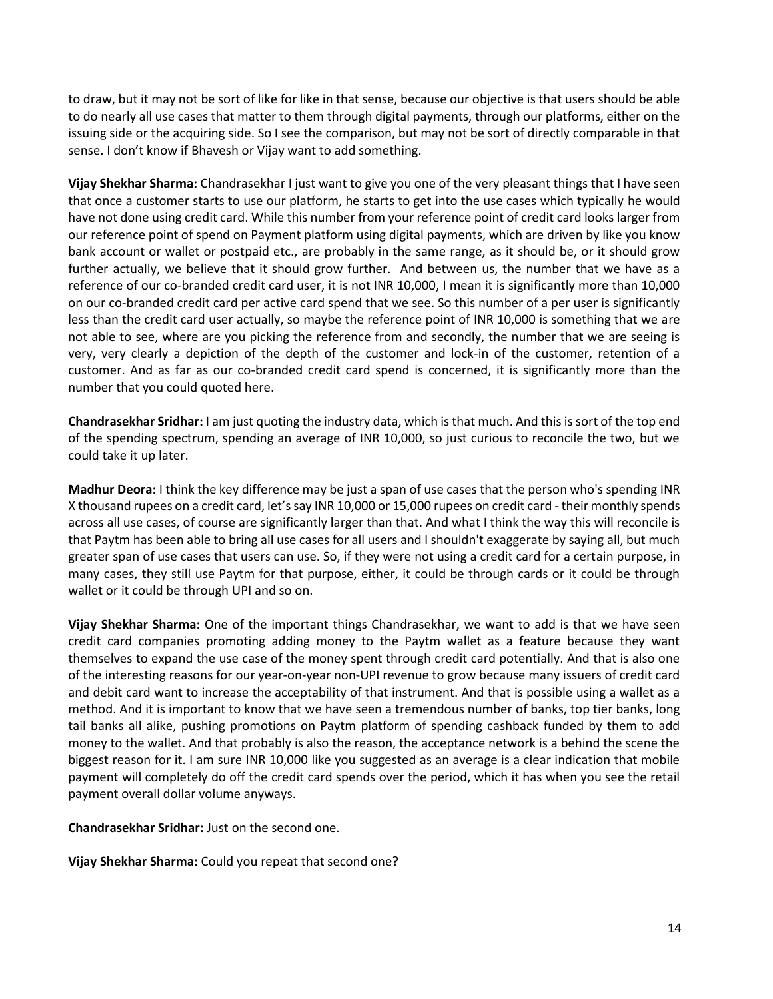to draw, but it may not be sort of like for like in that sense, because our objective is that users should be able to do nearly all use cases that matter to them through digital payments, through our platforms, either on the issuing side or the acquiring side. So I see the comparison, but may not be sort of directly comparable in that sense. I don't know if Bhavesh or Vijay want to add something.

**Vijay Shekhar Sharma:** Chandrasekhar I just want to give you one of the very pleasant things that I have seen that once a customer starts to use our platform, he starts to get into the use cases which typically he would have not done using credit card. While this number from your reference point of credit card looks larger from our reference point of spend on Payment platform using digital payments, which are driven by like you know bank account or wallet or postpaid etc., are probably in the same range, as it should be, or it should grow further actually, we believe that it should grow further. And between us, the number that we have as a reference of our co-branded credit card user, it is not INR 10,000, I mean it is significantly more than 10,000 on our co-branded credit card per active card spend that we see. So this number of a per user is significantly less than the credit card user actually, so maybe the reference point of INR 10,000 is something that we are not able to see, where are you picking the reference from and secondly, the number that we are seeing is very, very clearly a depiction of the depth of the customer and lock-in of the customer, retention of a customer. And as far as our co-branded credit card spend is concerned, it is significantly more than the number that you could quoted here.

**Chandrasekhar Sridhar:** I am just quoting the industry data, which is that much. And this is sort of the top end of the spending spectrum, spending an average of INR 10,000, so just curious to reconcile the two, but we could take it up later.

**Madhur Deora:** I think the key difference may be just a span of use cases that the person who's spending INR X thousand rupees on a credit card, let's say INR 10,000 or 15,000 rupees on credit card - their monthly spends across all use cases, of course are significantly larger than that. And what I think the way this will reconcile is that Paytm has been able to bring all use cases for all users and I shouldn't exaggerate by saying all, but much greater span of use cases that users can use. So, if they were not using a credit card for a certain purpose, in many cases, they still use Paytm for that purpose, either, it could be through cards or it could be through wallet or it could be through UPI and so on.

**Vijay Shekhar Sharma:** One of the important things Chandrasekhar, we want to add is that we have seen credit card companies promoting adding money to the Paytm wallet as a feature because they want themselves to expand the use case of the money spent through credit card potentially. And that is also one of the interesting reasons for our year-on-year non-UPI revenue to grow because many issuers of credit card and debit card want to increase the acceptability of that instrument. And that is possible using a wallet as a method. And it is important to know that we have seen a tremendous number of banks, top tier banks, long tail banks all alike, pushing promotions on Paytm platform of spending cashback funded by them to add money to the wallet. And that probably is also the reason, the acceptance network is a behind the scene the biggest reason for it. I am sure INR 10,000 like you suggested as an average is a clear indication that mobile payment will completely do off the credit card spends over the period, which it has when you see the retail payment overall dollar volume anyways.

**Chandrasekhar Sridhar:** Just on the second one.

**Vijay Shekhar Sharma:** Could you repeat that second one?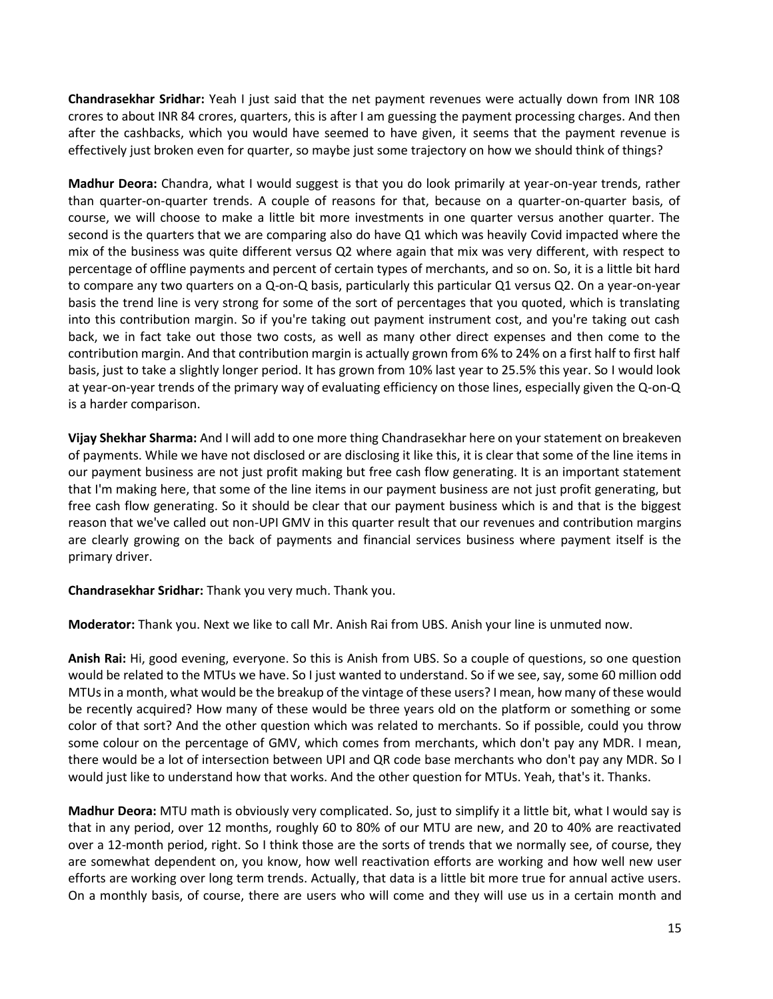**Chandrasekhar Sridhar:** Yeah I just said that the net payment revenues were actually down from INR 108 crores to about INR 84 crores, quarters, this is after I am guessing the payment processing charges. And then after the cashbacks, which you would have seemed to have given, it seems that the payment revenue is effectively just broken even for quarter, so maybe just some trajectory on how we should think of things?

**Madhur Deora:** Chandra, what I would suggest is that you do look primarily at year-on-year trends, rather than quarter-on-quarter trends. A couple of reasons for that, because on a quarter-on-quarter basis, of course, we will choose to make a little bit more investments in one quarter versus another quarter. The second is the quarters that we are comparing also do have Q1 which was heavily Covid impacted where the mix of the business was quite different versus Q2 where again that mix was very different, with respect to percentage of offline payments and percent of certain types of merchants, and so on. So, it is a little bit hard to compare any two quarters on a Q-on-Q basis, particularly this particular Q1 versus Q2. On a year-on-year basis the trend line is very strong for some of the sort of percentages that you quoted, which is translating into this contribution margin. So if you're taking out payment instrument cost, and you're taking out cash back, we in fact take out those two costs, as well as many other direct expenses and then come to the contribution margin. And that contribution margin is actually grown from 6% to 24% on a first half to first half basis, just to take a slightly longer period. It has grown from 10% last year to 25.5% this year. So I would look at year-on-year trends of the primary way of evaluating efficiency on those lines, especially given the Q-on-Q is a harder comparison.

**Vijay Shekhar Sharma:** And I will add to one more thing Chandrasekhar here on your statement on breakeven of payments. While we have not disclosed or are disclosing it like this, it is clear that some of the line items in our payment business are not just profit making but free cash flow generating. It is an important statement that I'm making here, that some of the line items in our payment business are not just profit generating, but free cash flow generating. So it should be clear that our payment business which is and that is the biggest reason that we've called out non-UPI GMV in this quarter result that our revenues and contribution margins are clearly growing on the back of payments and financial services business where payment itself is the primary driver.

**Chandrasekhar Sridhar:** Thank you very much. Thank you.

**Moderator:** Thank you. Next we like to call Mr. Anish Rai from UBS. Anish your line is unmuted now.

**Anish Rai:** Hi, good evening, everyone. So this is Anish from UBS. So a couple of questions, so one question would be related to the MTUs we have. So I just wanted to understand. So if we see, say, some 60 million odd MTUs in a month, what would be the breakup of the vintage of these users? I mean, how many of these would be recently acquired? How many of these would be three years old on the platform or something or some color of that sort? And the other question which was related to merchants. So if possible, could you throw some colour on the percentage of GMV, which comes from merchants, which don't pay any MDR. I mean, there would be a lot of intersection between UPI and QR code base merchants who don't pay any MDR. So I would just like to understand how that works. And the other question for MTUs. Yeah, that's it. Thanks.

**Madhur Deora:** MTU math is obviously very complicated. So, just to simplify it a little bit, what I would say is that in any period, over 12 months, roughly 60 to 80% of our MTU are new, and 20 to 40% are reactivated over a 12-month period, right. So I think those are the sorts of trends that we normally see, of course, they are somewhat dependent on, you know, how well reactivation efforts are working and how well new user efforts are working over long term trends. Actually, that data is a little bit more true for annual active users. On a monthly basis, of course, there are users who will come and they will use us in a certain month and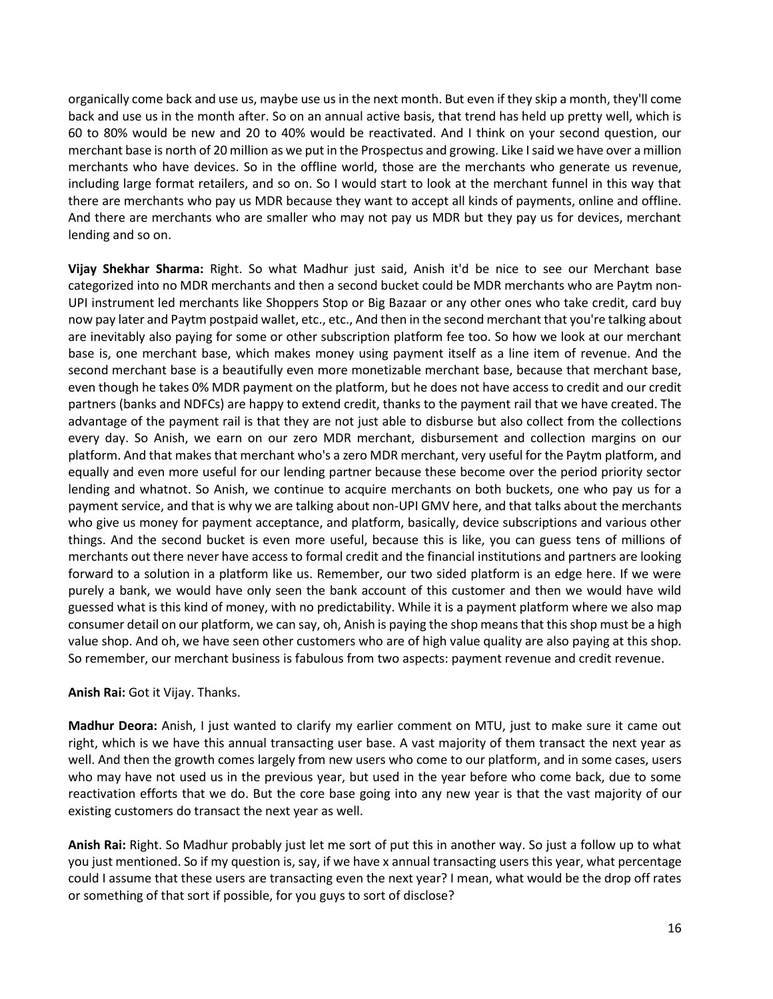organically come back and use us, maybe use us in the next month. But even if they skip a month, they'll come back and use us in the month after. So on an annual active basis, that trend has held up pretty well, which is 60 to 80% would be new and 20 to 40% would be reactivated. And I think on your second question, our merchant base is north of 20 million as we put in the Prospectus and growing. Like I said we have over a million merchants who have devices. So in the offline world, those are the merchants who generate us revenue, including large format retailers, and so on. So I would start to look at the merchant funnel in this way that there are merchants who pay us MDR because they want to accept all kinds of payments, online and offline. And there are merchants who are smaller who may not pay us MDR but they pay us for devices, merchant lending and so on.

**Vijay Shekhar Sharma:** Right. So what Madhur just said, Anish it'd be nice to see our Merchant base categorized into no MDR merchants and then a second bucket could be MDR merchants who are Paytm non-UPI instrument led merchants like Shoppers Stop or Big Bazaar or any other ones who take credit, card buy now pay later and Paytm postpaid wallet, etc., etc., And then in the second merchant that you're talking about are inevitably also paying for some or other subscription platform fee too. So how we look at our merchant base is, one merchant base, which makes money using payment itself as a line item of revenue. And the second merchant base is a beautifully even more monetizable merchant base, because that merchant base, even though he takes 0% MDR payment on the platform, but he does not have access to credit and our credit partners (banks and NDFCs) are happy to extend credit, thanks to the payment rail that we have created. The advantage of the payment rail is that they are not just able to disburse but also collect from the collections every day. So Anish, we earn on our zero MDR merchant, disbursement and collection margins on our platform. And that makes that merchant who's a zero MDR merchant, very useful for the Paytm platform, and equally and even more useful for our lending partner because these become over the period priority sector lending and whatnot. So Anish, we continue to acquire merchants on both buckets, one who pay us for a payment service, and that is why we are talking about non-UPI GMV here, and that talks about the merchants who give us money for payment acceptance, and platform, basically, device subscriptions and various other things. And the second bucket is even more useful, because this is like, you can guess tens of millions of merchants out there never have access to formal credit and the financial institutions and partners are looking forward to a solution in a platform like us. Remember, our two sided platform is an edge here. If we were purely a bank, we would have only seen the bank account of this customer and then we would have wild guessed what is this kind of money, with no predictability. While it is a payment platform where we also map consumer detail on our platform, we can say, oh, Anish is paying the shop means that this shop must be a high value shop. And oh, we have seen other customers who are of high value quality are also paying at this shop. So remember, our merchant business is fabulous from two aspects: payment revenue and credit revenue.

### **Anish Rai:** Got it Vijay. Thanks.

**Madhur Deora:** Anish, I just wanted to clarify my earlier comment on MTU, just to make sure it came out right, which is we have this annual transacting user base. A vast majority of them transact the next year as well. And then the growth comes largely from new users who come to our platform, and in some cases, users who may have not used us in the previous year, but used in the year before who come back, due to some reactivation efforts that we do. But the core base going into any new year is that the vast majority of our existing customers do transact the next year as well.

**Anish Rai:** Right. So Madhur probably just let me sort of put this in another way. So just a follow up to what you just mentioned. So if my question is, say, if we have x annual transacting users this year, what percentage could I assume that these users are transacting even the next year? I mean, what would be the drop off rates or something of that sort if possible, for you guys to sort of disclose?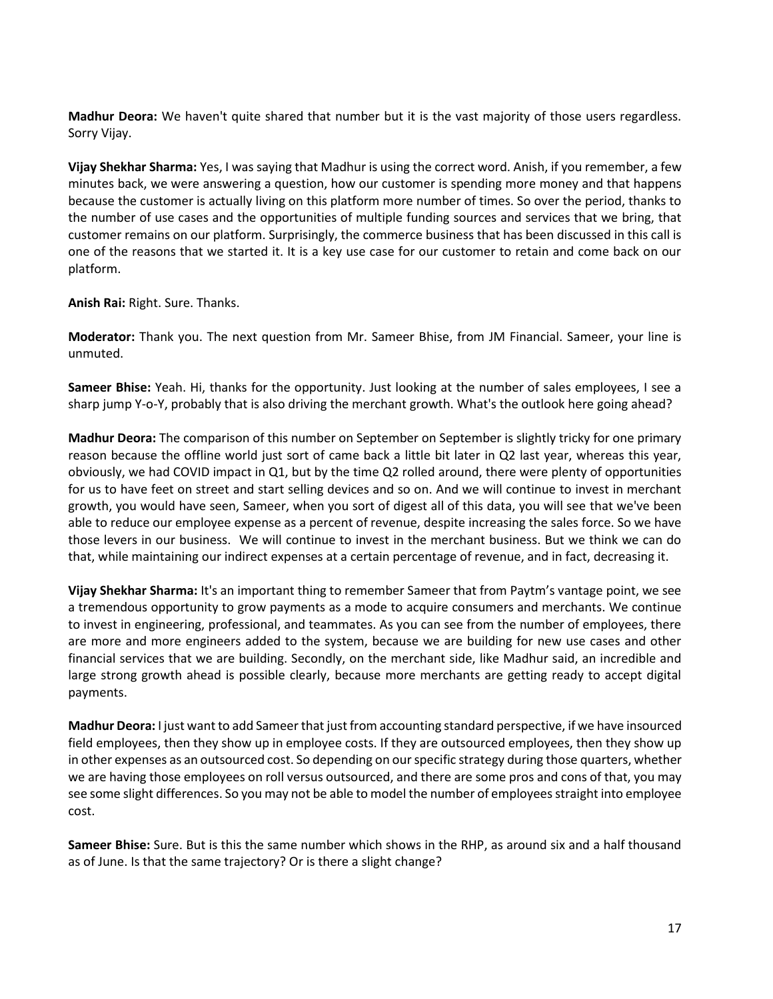**Madhur Deora:** We haven't quite shared that number but it is the vast majority of those users regardless. Sorry Vijay.

**Vijay Shekhar Sharma:** Yes, I was saying that Madhur is using the correct word. Anish, if you remember, a few minutes back, we were answering a question, how our customer is spending more money and that happens because the customer is actually living on this platform more number of times. So over the period, thanks to the number of use cases and the opportunities of multiple funding sources and services that we bring, that customer remains on our platform. Surprisingly, the commerce business that has been discussed in this call is one of the reasons that we started it. It is a key use case for our customer to retain and come back on our platform.

**Anish Rai:** Right. Sure. Thanks.

**Moderator:** Thank you. The next question from Mr. Sameer Bhise, from JM Financial. Sameer, your line is unmuted.

**Sameer Bhise:** Yeah. Hi, thanks for the opportunity. Just looking at the number of sales employees, I see a sharp jump Y-o-Y, probably that is also driving the merchant growth. What's the outlook here going ahead?

**Madhur Deora:** The comparison of this number on September on September is slightly tricky for one primary reason because the offline world just sort of came back a little bit later in Q2 last year, whereas this year, obviously, we had COVID impact in Q1, but by the time Q2 rolled around, there were plenty of opportunities for us to have feet on street and start selling devices and so on. And we will continue to invest in merchant growth, you would have seen, Sameer, when you sort of digest all of this data, you will see that we've been able to reduce our employee expense as a percent of revenue, despite increasing the sales force. So we have those levers in our business. We will continue to invest in the merchant business. But we think we can do that, while maintaining our indirect expenses at a certain percentage of revenue, and in fact, decreasing it.

**Vijay Shekhar Sharma:** It's an important thing to remember Sameer that from Paytm's vantage point, we see a tremendous opportunity to grow payments as a mode to acquire consumers and merchants. We continue to invest in engineering, professional, and teammates. As you can see from the number of employees, there are more and more engineers added to the system, because we are building for new use cases and other financial services that we are building. Secondly, on the merchant side, like Madhur said, an incredible and large strong growth ahead is possible clearly, because more merchants are getting ready to accept digital payments.

**Madhur Deora:** I just want to add Sameer that just from accounting standard perspective, if we have insourced field employees, then they show up in employee costs. If they are outsourced employees, then they show up in other expenses as an outsourced cost. So depending on our specific strategy during those quarters, whether we are having those employees on roll versus outsourced, and there are some pros and cons of that, you may see some slight differences. So you may not be able to model the number of employees straight into employee cost.

**Sameer Bhise:** Sure. But is this the same number which shows in the RHP, as around six and a half thousand as of June. Is that the same trajectory? Or is there a slight change?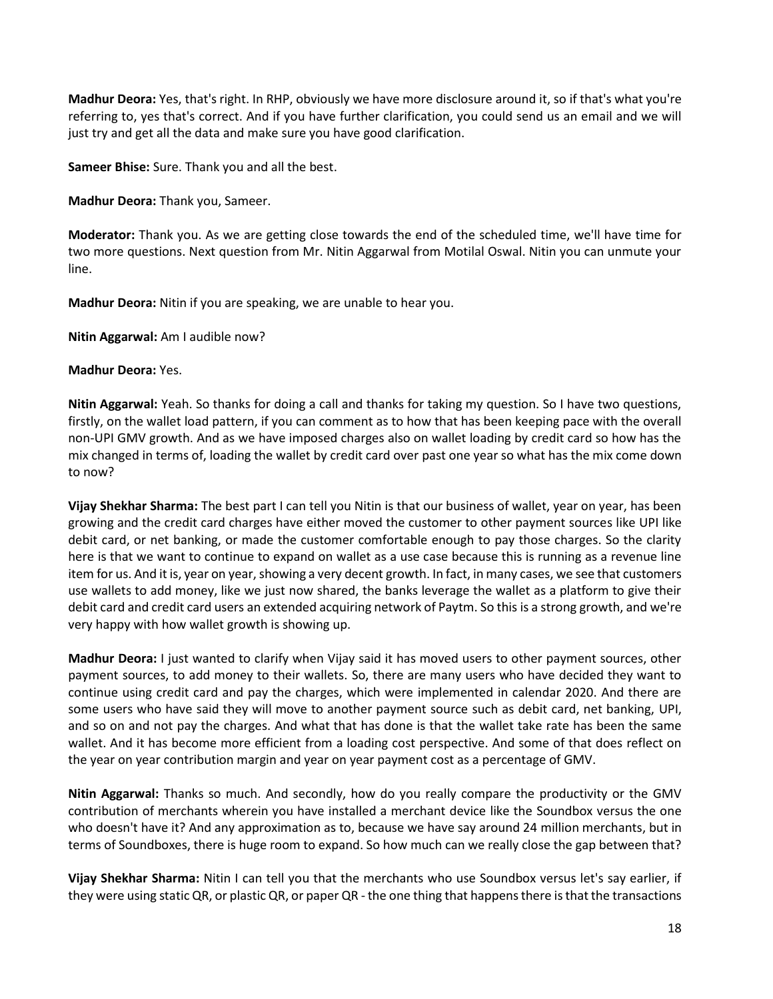**Madhur Deora:** Yes, that's right. In RHP, obviously we have more disclosure around it, so if that's what you're referring to, yes that's correct. And if you have further clarification, you could send us an email and we will just try and get all the data and make sure you have good clarification.

**Sameer Bhise:** Sure. Thank you and all the best.

**Madhur Deora:** Thank you, Sameer.

**Moderator:** Thank you. As we are getting close towards the end of the scheduled time, we'll have time for two more questions. Next question from Mr. Nitin Aggarwal from Motilal Oswal. Nitin you can unmute your line.

**Madhur Deora:** Nitin if you are speaking, we are unable to hear you.

**Nitin Aggarwal:** Am I audible now?

### **Madhur Deora:** Yes.

**Nitin Aggarwal:** Yeah. So thanks for doing a call and thanks for taking my question. So I have two questions, firstly, on the wallet load pattern, if you can comment as to how that has been keeping pace with the overall non-UPI GMV growth. And as we have imposed charges also on wallet loading by credit card so how has the mix changed in terms of, loading the wallet by credit card over past one year so what has the mix come down to now?

**Vijay Shekhar Sharma:** The best part I can tell you Nitin is that our business of wallet, year on year, has been growing and the credit card charges have either moved the customer to other payment sources like UPI like debit card, or net banking, or made the customer comfortable enough to pay those charges. So the clarity here is that we want to continue to expand on wallet as a use case because this is running as a revenue line item for us. And it is, year on year, showing a very decent growth. In fact, in many cases, we see that customers use wallets to add money, like we just now shared, the banks leverage the wallet as a platform to give their debit card and credit card users an extended acquiring network of Paytm. So this is a strong growth, and we're very happy with how wallet growth is showing up.

**Madhur Deora:** I just wanted to clarify when Vijay said it has moved users to other payment sources, other payment sources, to add money to their wallets. So, there are many users who have decided they want to continue using credit card and pay the charges, which were implemented in calendar 2020. And there are some users who have said they will move to another payment source such as debit card, net banking, UPI, and so on and not pay the charges. And what that has done is that the wallet take rate has been the same wallet. And it has become more efficient from a loading cost perspective. And some of that does reflect on the year on year contribution margin and year on year payment cost as a percentage of GMV.

**Nitin Aggarwal:** Thanks so much. And secondly, how do you really compare the productivity or the GMV contribution of merchants wherein you have installed a merchant device like the Soundbox versus the one who doesn't have it? And any approximation as to, because we have say around 24 million merchants, but in terms of Soundboxes, there is huge room to expand. So how much can we really close the gap between that?

**Vijay Shekhar Sharma:** Nitin I can tell you that the merchants who use Soundbox versus let's say earlier, if they were using static QR, or plastic QR, or paper QR - the one thing that happens there is that the transactions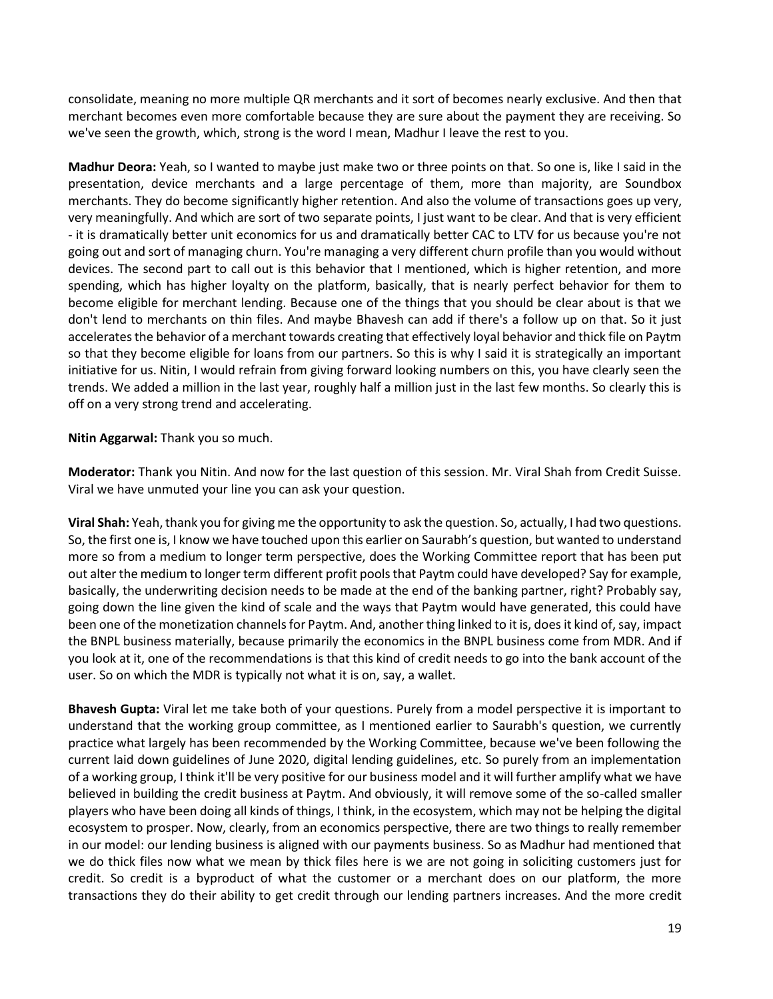consolidate, meaning no more multiple QR merchants and it sort of becomes nearly exclusive. And then that merchant becomes even more comfortable because they are sure about the payment they are receiving. So we've seen the growth, which, strong is the word I mean, Madhur I leave the rest to you.

**Madhur Deora:** Yeah, so I wanted to maybe just make two or three points on that. So one is, like I said in the presentation, device merchants and a large percentage of them, more than majority, are Soundbox merchants. They do become significantly higher retention. And also the volume of transactions goes up very, very meaningfully. And which are sort of two separate points, I just want to be clear. And that is very efficient - it is dramatically better unit economics for us and dramatically better CAC to LTV for us because you're not going out and sort of managing churn. You're managing a very different churn profile than you would without devices. The second part to call out is this behavior that I mentioned, which is higher retention, and more spending, which has higher loyalty on the platform, basically, that is nearly perfect behavior for them to become eligible for merchant lending. Because one of the things that you should be clear about is that we don't lend to merchants on thin files. And maybe Bhavesh can add if there's a follow up on that. So it just accelerates the behavior of a merchant towards creating that effectively loyal behavior and thick file on Paytm so that they become eligible for loans from our partners. So this is why I said it is strategically an important initiative for us. Nitin, I would refrain from giving forward looking numbers on this, you have clearly seen the trends. We added a million in the last year, roughly half a million just in the last few months. So clearly this is off on a very strong trend and accelerating.

**Nitin Aggarwal:** Thank you so much.

**Moderator:** Thank you Nitin. And now for the last question of this session. Mr. Viral Shah from Credit Suisse. Viral we have unmuted your line you can ask your question.

**Viral Shah:** Yeah, thank you for giving me the opportunity to ask the question. So, actually, I had two questions. So, the first one is, I know we have touched upon this earlier on Saurabh's question, but wanted to understand more so from a medium to longer term perspective, does the Working Committee report that has been put out alter the medium to longer term different profit pools that Paytm could have developed? Say for example, basically, the underwriting decision needs to be made at the end of the banking partner, right? Probably say, going down the line given the kind of scale and the ways that Paytm would have generated, this could have been one of the monetization channels for Paytm. And, another thing linked to it is, does it kind of, say, impact the BNPL business materially, because primarily the economics in the BNPL business come from MDR. And if you look at it, one of the recommendations is that this kind of credit needs to go into the bank account of the user. So on which the MDR is typically not what it is on, say, a wallet.

**Bhavesh Gupta:** Viral let me take both of your questions. Purely from a model perspective it is important to understand that the working group committee, as I mentioned earlier to Saurabh's question, we currently practice what largely has been recommended by the Working Committee, because we've been following the current laid down guidelines of June 2020, digital lending guidelines, etc. So purely from an implementation of a working group, I think it'll be very positive for our business model and it will further amplify what we have believed in building the credit business at Paytm. And obviously, it will remove some of the so-called smaller players who have been doing all kinds of things, I think, in the ecosystem, which may not be helping the digital ecosystem to prosper. Now, clearly, from an economics perspective, there are two things to really remember in our model: our lending business is aligned with our payments business. So as Madhur had mentioned that we do thick files now what we mean by thick files here is we are not going in soliciting customers just for credit. So credit is a byproduct of what the customer or a merchant does on our platform, the more transactions they do their ability to get credit through our lending partners increases. And the more credit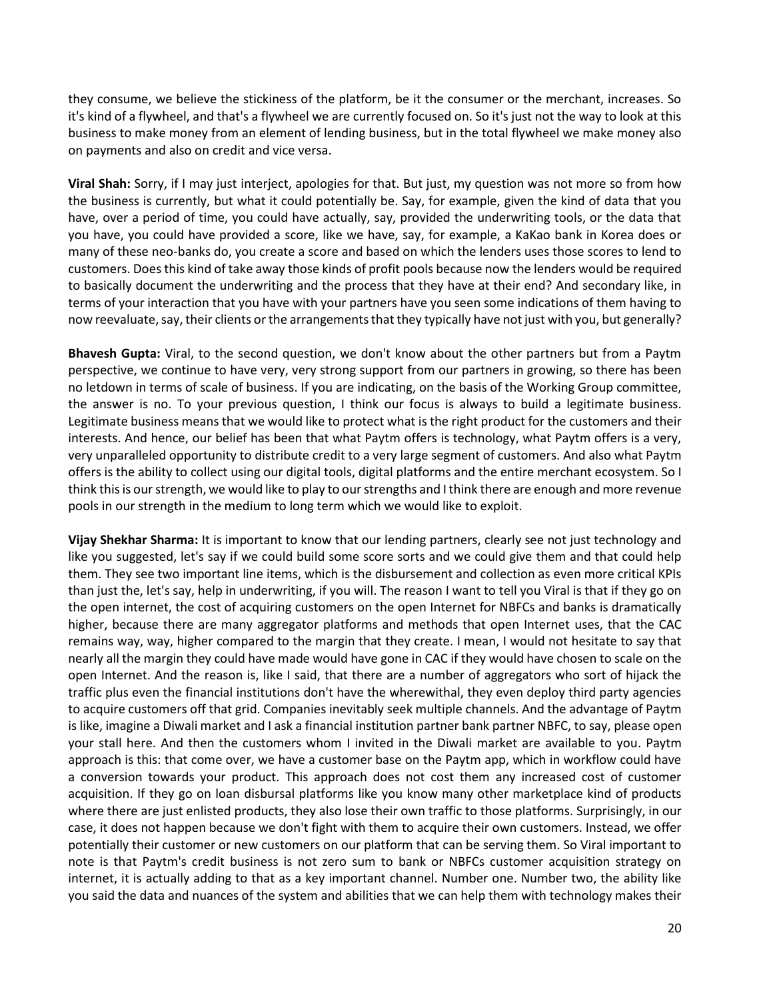they consume, we believe the stickiness of the platform, be it the consumer or the merchant, increases. So it's kind of a flywheel, and that's a flywheel we are currently focused on. So it's just not the way to look at this business to make money from an element of lending business, but in the total flywheel we make money also on payments and also on credit and vice versa.

**Viral Shah:** Sorry, if I may just interject, apologies for that. But just, my question was not more so from how the business is currently, but what it could potentially be. Say, for example, given the kind of data that you have, over a period of time, you could have actually, say, provided the underwriting tools, or the data that you have, you could have provided a score, like we have, say, for example, a KaKao bank in Korea does or many of these neo-banks do, you create a score and based on which the lenders uses those scores to lend to customers. Does this kind of take away those kinds of profit pools because now the lenders would be required to basically document the underwriting and the process that they have at their end? And secondary like, in terms of your interaction that you have with your partners have you seen some indications of them having to now reevaluate, say, their clients or the arrangements that they typically have not just with you, but generally?

**Bhavesh Gupta:** Viral, to the second question, we don't know about the other partners but from a Paytm perspective, we continue to have very, very strong support from our partners in growing, so there has been no letdown in terms of scale of business. If you are indicating, on the basis of the Working Group committee, the answer is no. To your previous question, I think our focus is always to build a legitimate business. Legitimate business means that we would like to protect what is the right product for the customers and their interests. And hence, our belief has been that what Paytm offers is technology, what Paytm offers is a very, very unparalleled opportunity to distribute credit to a very large segment of customers. And also what Paytm offers is the ability to collect using our digital tools, digital platforms and the entire merchant ecosystem. So I think this is our strength, we would like to play to our strengths and I think there are enough and more revenue pools in our strength in the medium to long term which we would like to exploit.

**Vijay Shekhar Sharma:** It is important to know that our lending partners, clearly see not just technology and like you suggested, let's say if we could build some score sorts and we could give them and that could help them. They see two important line items, which is the disbursement and collection as even more critical KPIs than just the, let's say, help in underwriting, if you will. The reason I want to tell you Viral is that if they go on the open internet, the cost of acquiring customers on the open Internet for NBFCs and banks is dramatically higher, because there are many aggregator platforms and methods that open Internet uses, that the CAC remains way, way, higher compared to the margin that they create. I mean, I would not hesitate to say that nearly all the margin they could have made would have gone in CAC if they would have chosen to scale on the open Internet. And the reason is, like I said, that there are a number of aggregators who sort of hijack the traffic plus even the financial institutions don't have the wherewithal, they even deploy third party agencies to acquire customers off that grid. Companies inevitably seek multiple channels. And the advantage of Paytm is like, imagine a Diwali market and I ask a financial institution partner bank partner NBFC, to say, please open your stall here. And then the customers whom I invited in the Diwali market are available to you. Paytm approach is this: that come over, we have a customer base on the Paytm app, which in workflow could have a conversion towards your product. This approach does not cost them any increased cost of customer acquisition. If they go on loan disbursal platforms like you know many other marketplace kind of products where there are just enlisted products, they also lose their own traffic to those platforms. Surprisingly, in our case, it does not happen because we don't fight with them to acquire their own customers. Instead, we offer potentially their customer or new customers on our platform that can be serving them. So Viral important to note is that Paytm's credit business is not zero sum to bank or NBFCs customer acquisition strategy on internet, it is actually adding to that as a key important channel. Number one. Number two, the ability like you said the data and nuances of the system and abilities that we can help them with technology makes their